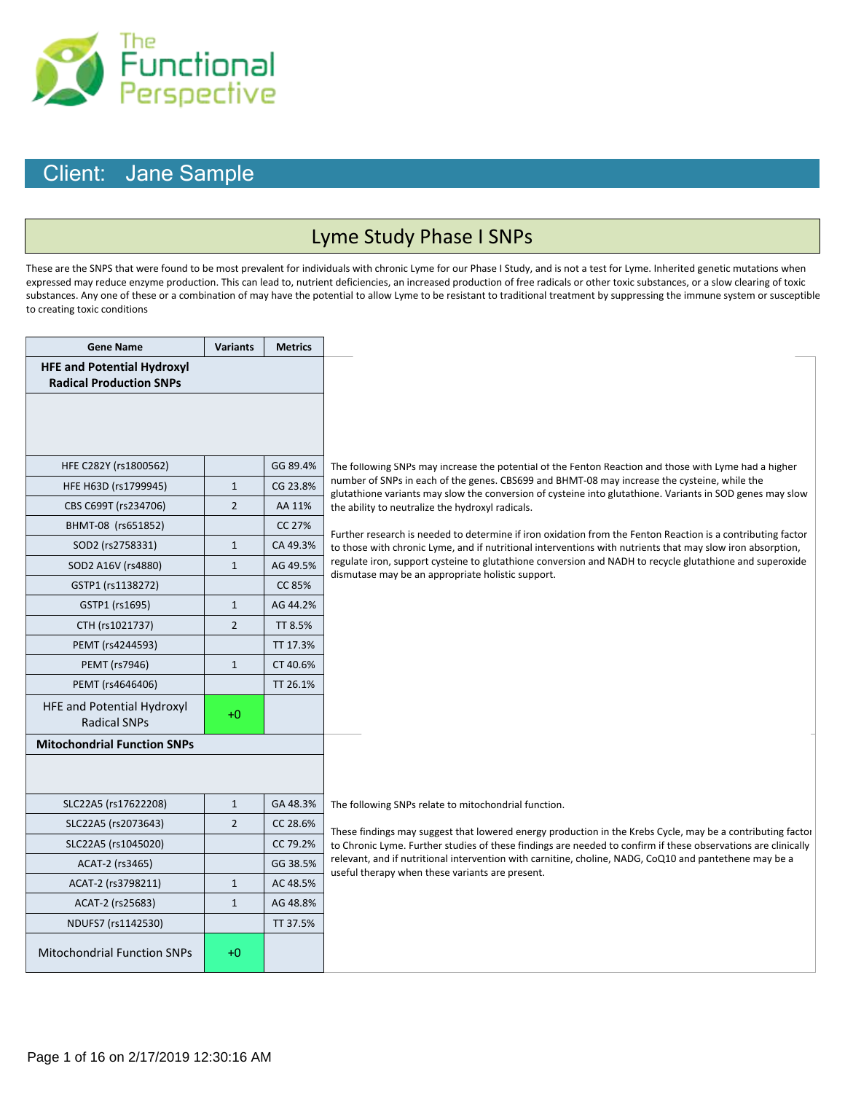

#### Lyme Study Phase I SNPs

These are the SNPS that were found to be most prevalent for individuals with chronic Lyme for our Phase I Study, and is not a test for Lyme. Inherited genetic mutations when expressed may reduce enzyme production. This can lead to, nutrient deficiencies, an increased production of free radicals or other toxic substances, or a slow clearing of toxic substances. Any one of these or a combination of may have the potential to allow Lyme to be resistant to traditional treatment by suppressing the immune system or susceptible to creating toxic conditions

| <b>Gene Name</b>                                                    | <b>Variants</b> | <b>Metrics</b> |                                                                                                                                                                                                                           |
|---------------------------------------------------------------------|-----------------|----------------|---------------------------------------------------------------------------------------------------------------------------------------------------------------------------------------------------------------------------|
| <b>HFE and Potential Hydroxyl</b><br><b>Radical Production SNPs</b> |                 |                |                                                                                                                                                                                                                           |
|                                                                     |                 |                |                                                                                                                                                                                                                           |
|                                                                     |                 |                |                                                                                                                                                                                                                           |
| HFE C282Y (rs1800562)                                               |                 | GG 89.4%       | The following SNPs may increase the potential of the Fenton Reaction and those with Lyme had a higher                                                                                                                     |
| HFE H63D (rs1799945)                                                | $\mathbf{1}$    | CG 23.8%       | number of SNPs in each of the genes. CBS699 and BHMT-08 may increase the cysteine, while the                                                                                                                              |
| CBS C699T (rs234706)                                                | $\overline{2}$  | AA 11%         | glutathione variants may slow the conversion of cysteine into glutathione. Variants in SOD genes may slow<br>the ability to neutralize the hydroxyl radicals.                                                             |
| BHMT-08 (rs651852)                                                  |                 | CC 27%         |                                                                                                                                                                                                                           |
| SOD2 (rs2758331)                                                    | $\mathbf{1}$    | CA 49.3%       | Further research is needed to determine if iron oxidation from the Fenton Reaction is a contributing factor<br>to those with chronic Lyme, and if nutritional interventions with nutrients that may slow iron absorption, |
| SOD2 A16V (rs4880)                                                  | $\mathbf{1}$    | AG 49.5%       | regulate iron, support cysteine to glutathione conversion and NADH to recycle glutathione and superoxide                                                                                                                  |
| GSTP1 (rs1138272)                                                   |                 | CC 85%         | dismutase may be an appropriate holistic support.                                                                                                                                                                         |
| GSTP1 (rs1695)                                                      | $\mathbf{1}$    | AG 44.2%       |                                                                                                                                                                                                                           |
| CTH (rs1021737)                                                     | $\overline{2}$  | TT 8.5%        |                                                                                                                                                                                                                           |
| PEMT (rs4244593)                                                    |                 | TT 17.3%       |                                                                                                                                                                                                                           |
| PEMT (rs7946)                                                       | $\mathbf{1}$    | CT 40.6%       |                                                                                                                                                                                                                           |
| PEMT (rs4646406)                                                    |                 | TT 26.1%       |                                                                                                                                                                                                                           |
| HFE and Potential Hydroxyl<br><b>Radical SNPs</b>                   | $+0$            |                |                                                                                                                                                                                                                           |
| <b>Mitochondrial Function SNPs</b>                                  |                 |                |                                                                                                                                                                                                                           |
|                                                                     |                 |                |                                                                                                                                                                                                                           |
|                                                                     |                 |                |                                                                                                                                                                                                                           |
| SLC22A5 (rs17622208)                                                | $\mathbf{1}$    | GA 48.3%       | The following SNPs relate to mitochondrial function.                                                                                                                                                                      |
| SLC22A5 (rs2073643)                                                 | $\overline{2}$  | CC 28.6%       | These findings may suggest that lowered energy production in the Krebs Cycle, may be a contributing factor                                                                                                                |
| SLC22A5 (rs1045020)                                                 |                 | CC 79.2%       | to Chronic Lyme. Further studies of these findings are needed to confirm if these observations are clinically                                                                                                             |
| ACAT-2 (rs3465)                                                     |                 | GG 38.5%       | relevant, and if nutritional intervention with carnitine, choline, NADG, CoQ10 and pantethene may be a<br>useful therapy when these variants are present.                                                                 |
| ACAT-2 (rs3798211)                                                  | $\mathbf{1}$    | AC 48.5%       |                                                                                                                                                                                                                           |
| ACAT-2 (rs25683)                                                    | $\mathbf{1}$    | AG 48.8%       |                                                                                                                                                                                                                           |
| NDUFS7 (rs1142530)                                                  |                 | TT 37.5%       |                                                                                                                                                                                                                           |
| <b>Mitochondrial Function SNPs</b>                                  | $+0$            |                |                                                                                                                                                                                                                           |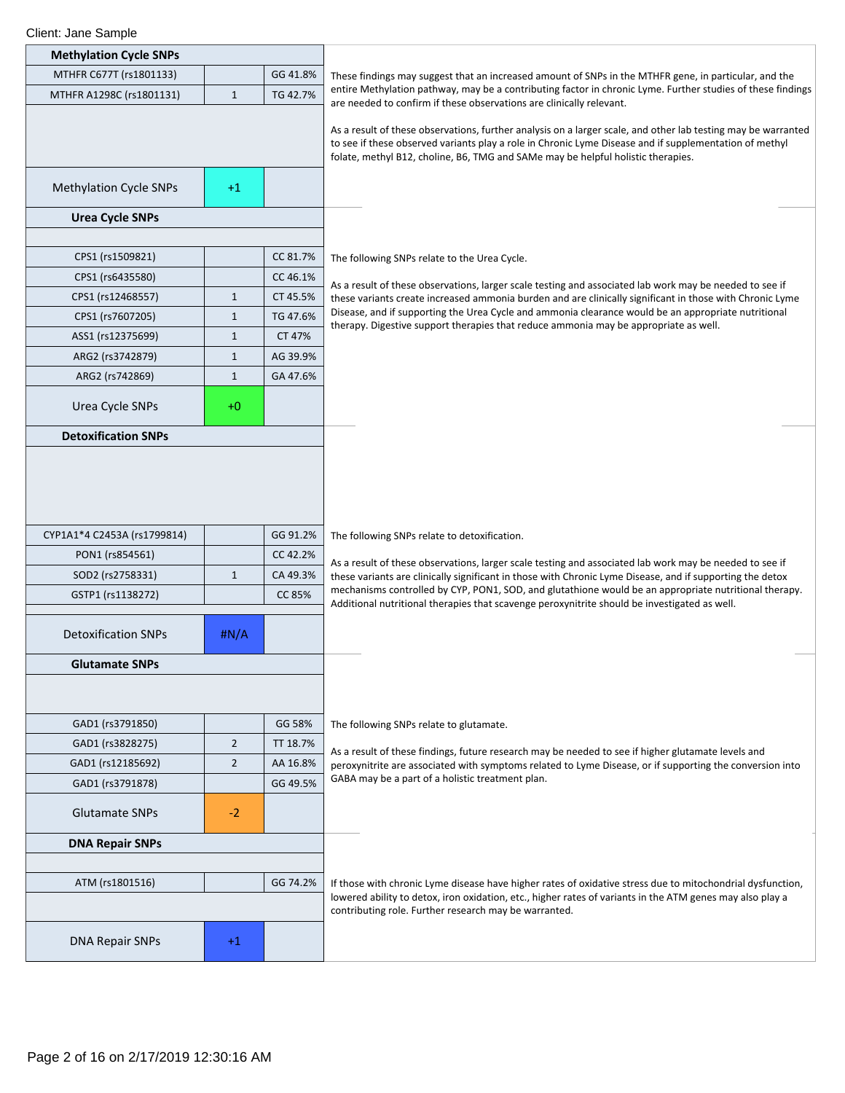| <b>Methylation Cycle SNPs</b> |                |          |                                                                                                                                                                                                                                                                                                             |
|-------------------------------|----------------|----------|-------------------------------------------------------------------------------------------------------------------------------------------------------------------------------------------------------------------------------------------------------------------------------------------------------------|
| MTHFR C677T (rs1801133)       |                | GG 41.8% | These findings may suggest that an increased amount of SNPs in the MTHFR gene, in particular, and the                                                                                                                                                                                                       |
| MTHFR A1298C (rs1801131)      | $\mathbf{1}$   | TG 42.7% | entire Methylation pathway, may be a contributing factor in chronic Lyme. Further studies of these findings<br>are needed to confirm if these observations are clinically relevant.                                                                                                                         |
|                               |                |          | As a result of these observations, further analysis on a larger scale, and other lab testing may be warranted<br>to see if these observed variants play a role in Chronic Lyme Disease and if supplementation of methyl<br>folate, methyl B12, choline, B6, TMG and SAMe may be helpful holistic therapies. |
| <b>Methylation Cycle SNPs</b> | $+1$           |          |                                                                                                                                                                                                                                                                                                             |
| <b>Urea Cycle SNPs</b>        |                |          |                                                                                                                                                                                                                                                                                                             |
|                               |                |          |                                                                                                                                                                                                                                                                                                             |
| CPS1 (rs1509821)              |                | CC 81.7% | The following SNPs relate to the Urea Cycle.                                                                                                                                                                                                                                                                |
| CPS1 (rs6435580)              |                | CC 46.1% | As a result of these observations, larger scale testing and associated lab work may be needed to see if                                                                                                                                                                                                     |
| CPS1 (rs12468557)             | $\,1\,$        | CT 45.5% | these variants create increased ammonia burden and are clinically significant in those with Chronic Lyme                                                                                                                                                                                                    |
| CPS1 (rs7607205)              | $\mathbf{1}$   | TG 47.6% | Disease, and if supporting the Urea Cycle and ammonia clearance would be an appropriate nutritional<br>therapy. Digestive support therapies that reduce ammonia may be appropriate as well.                                                                                                                 |
| ASS1 (rs12375699)             | $\,1\,$        | CT 47%   |                                                                                                                                                                                                                                                                                                             |
| ARG2 (rs3742879)              | $\mathbf{1}$   | AG 39.9% |                                                                                                                                                                                                                                                                                                             |
| ARG2 (rs742869)               | $\mathbf{1}$   | GA 47.6% |                                                                                                                                                                                                                                                                                                             |
| Urea Cycle SNPs               | $+0$           |          |                                                                                                                                                                                                                                                                                                             |
| <b>Detoxification SNPs</b>    |                |          |                                                                                                                                                                                                                                                                                                             |
| CYP1A1*4 C2453A (rs1799814)   |                | GG 91.2% | The following SNPs relate to detoxification.                                                                                                                                                                                                                                                                |
| PON1 (rs854561)               |                | CC 42.2% | As a result of these observations, larger scale testing and associated lab work may be needed to see if                                                                                                                                                                                                     |
| SOD2 (rs2758331)              | $\mathbf{1}$   | CA 49.3% | these variants are clinically significant in those with Chronic Lyme Disease, and if supporting the detox<br>mechanisms controlled by CYP, PON1, SOD, and glutathione would be an appropriate nutritional therapy.                                                                                          |
| GSTP1 (rs1138272)             |                | CC 85%   | Additional nutritional therapies that scavenge peroxynitrite should be investigated as well.                                                                                                                                                                                                                |
| <b>Detoxification SNPs</b>    | #N/A           |          |                                                                                                                                                                                                                                                                                                             |
| <b>Glutamate SNPs</b>         |                |          |                                                                                                                                                                                                                                                                                                             |
|                               |                |          |                                                                                                                                                                                                                                                                                                             |
| GAD1 (rs3791850)              |                | GG 58%   | The following SNPs relate to glutamate.                                                                                                                                                                                                                                                                     |
| GAD1 (rs3828275)              | $\overline{2}$ | TT 18.7% | As a result of these findings, future research may be needed to see if higher glutamate levels and                                                                                                                                                                                                          |
| GAD1 (rs12185692)             | $\overline{2}$ | AA 16.8% | peroxynitrite are associated with symptoms related to Lyme Disease, or if supporting the conversion into                                                                                                                                                                                                    |
| GAD1 (rs3791878)              |                | GG 49.5% | GABA may be a part of a holistic treatment plan.                                                                                                                                                                                                                                                            |
| <b>Glutamate SNPs</b>         | $-2$           |          |                                                                                                                                                                                                                                                                                                             |
| <b>DNA Repair SNPs</b>        |                |          |                                                                                                                                                                                                                                                                                                             |
|                               |                |          |                                                                                                                                                                                                                                                                                                             |
| ATM (rs1801516)               |                | GG 74.2% | If those with chronic Lyme disease have higher rates of oxidative stress due to mitochondrial dysfunction,<br>lowered ability to detox, iron oxidation, etc., higher rates of variants in the ATM genes may also play a                                                                                     |
| <b>DNA Repair SNPs</b>        | $+1$           |          | contributing role. Further research may be warranted.                                                                                                                                                                                                                                                       |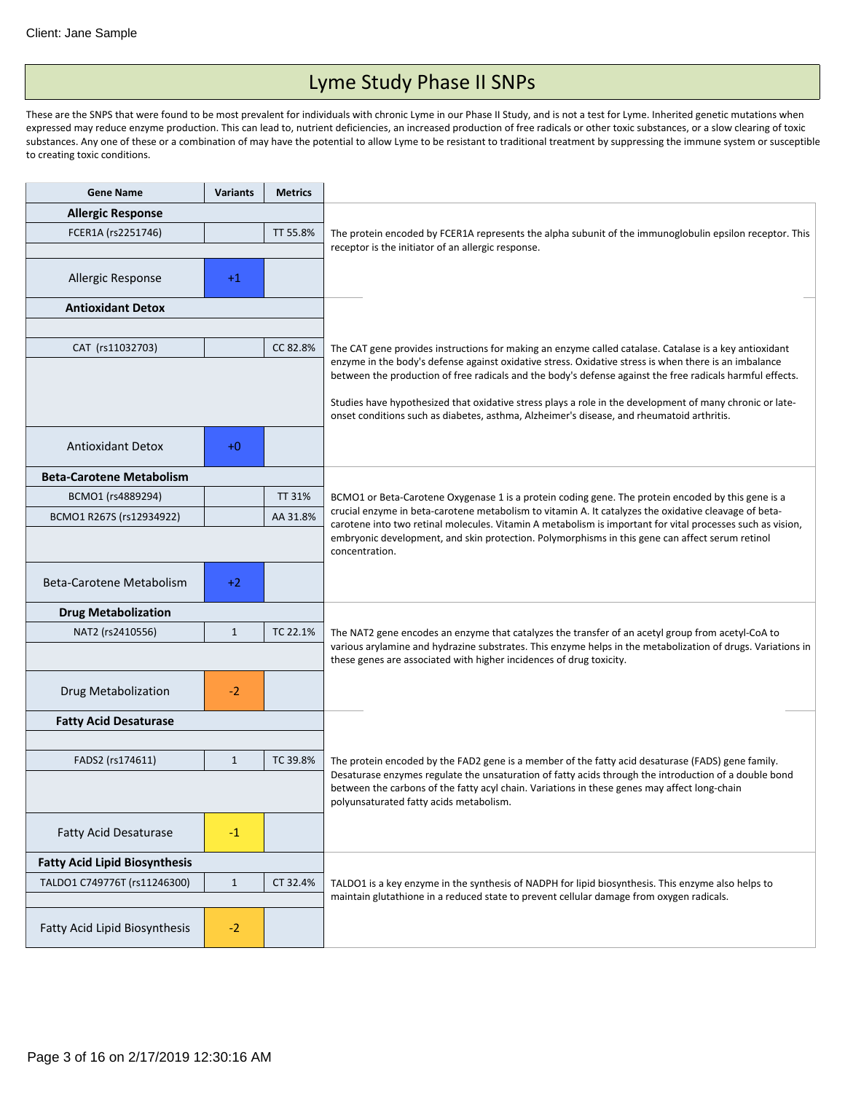# Lyme Study Phase II SNPs

These are the SNPS that were found to be most prevalent for individuals with chronic Lyme in our Phase II Study, and is not a test for Lyme. Inherited genetic mutations when expressed may reduce enzyme production. This can lead to, nutrient deficiencies, an increased production of free radicals or other toxic substances, or a slow clearing of toxic substances. Any one of these or a combination of may have the potential to allow Lyme to be resistant to traditional treatment by suppressing the immune system or susceptible to creating toxic conditions.

| <b>Gene Name</b>                     | <b>Variants</b> | <b>Metrics</b> |                                                                                                                                                                                                                                                  |
|--------------------------------------|-----------------|----------------|--------------------------------------------------------------------------------------------------------------------------------------------------------------------------------------------------------------------------------------------------|
| <b>Allergic Response</b>             |                 |                |                                                                                                                                                                                                                                                  |
| FCER1A (rs2251746)                   | TT 55.8%        |                | The protein encoded by FCER1A represents the alpha subunit of the immunoglobulin epsilon receptor. This                                                                                                                                          |
|                                      |                 |                | receptor is the initiator of an allergic response.                                                                                                                                                                                               |
| Allergic Response                    | $+1$            |                |                                                                                                                                                                                                                                                  |
| <b>Antioxidant Detox</b>             |                 |                |                                                                                                                                                                                                                                                  |
|                                      |                 |                |                                                                                                                                                                                                                                                  |
| CAT (rs11032703)                     |                 | CC 82.8%       | The CAT gene provides instructions for making an enzyme called catalase. Catalase is a key antioxidant                                                                                                                                           |
|                                      |                 |                | enzyme in the body's defense against oxidative stress. Oxidative stress is when there is an imbalance<br>between the production of free radicals and the body's defense against the free radicals harmful effects.                               |
|                                      |                 |                | Studies have hypothesized that oxidative stress plays a role in the development of many chronic or late-<br>onset conditions such as diabetes, asthma, Alzheimer's disease, and rheumatoid arthritis.                                            |
| <b>Antioxidant Detox</b>             | $+0$            |                |                                                                                                                                                                                                                                                  |
| <b>Beta-Carotene Metabolism</b>      |                 |                |                                                                                                                                                                                                                                                  |
| BCMO1 (rs4889294)                    |                 | TT 31%         | BCMO1 or Beta-Carotene Oxygenase 1 is a protein coding gene. The protein encoded by this gene is a                                                                                                                                               |
| BCMO1 R267S (rs12934922)             |                 | AA 31.8%       | crucial enzyme in beta-carotene metabolism to vitamin A. It catalyzes the oxidative cleavage of beta-<br>carotene into two retinal molecules. Vitamin A metabolism is important for vital processes such as vision,                              |
|                                      |                 |                | embryonic development, and skin protection. Polymorphisms in this gene can affect serum retinol<br>concentration.                                                                                                                                |
| Beta-Carotene Metabolism             | $+2$            |                |                                                                                                                                                                                                                                                  |
| <b>Drug Metabolization</b>           |                 |                |                                                                                                                                                                                                                                                  |
| NAT2 (rs2410556)                     | $\mathbf{1}$    | TC 22.1%       | The NAT2 gene encodes an enzyme that catalyzes the transfer of an acetyl group from acetyl-CoA to                                                                                                                                                |
|                                      |                 |                | various arylamine and hydrazine substrates. This enzyme helps in the metabolization of drugs. Variations in<br>these genes are associated with higher incidences of drug toxicity.                                                               |
| Drug Metabolization                  | $-2$            |                |                                                                                                                                                                                                                                                  |
| <b>Fatty Acid Desaturase</b>         |                 |                |                                                                                                                                                                                                                                                  |
|                                      |                 |                |                                                                                                                                                                                                                                                  |
| FADS2 (rs174611)                     | $\mathbf{1}$    | TC 39.8%       | The protein encoded by the FAD2 gene is a member of the fatty acid desaturase (FADS) gene family.                                                                                                                                                |
|                                      |                 |                | Desaturase enzymes regulate the unsaturation of fatty acids through the introduction of a double bond<br>between the carbons of the fatty acyl chain. Variations in these genes may affect long-chain<br>polyunsaturated fatty acids metabolism. |
| <b>Fatty Acid Desaturase</b>         | $-1$            |                |                                                                                                                                                                                                                                                  |
| <b>Fatty Acid Lipid Biosynthesis</b> |                 |                |                                                                                                                                                                                                                                                  |
| TALDO1 C749776T (rs11246300)         | $\mathbf{1}$    | CT 32.4%       | TALDO1 is a key enzyme in the synthesis of NADPH for lipid biosynthesis. This enzyme also helps to                                                                                                                                               |
|                                      |                 |                | maintain glutathione in a reduced state to prevent cellular damage from oxygen radicals.                                                                                                                                                         |
| Fatty Acid Lipid Biosynthesis        | $-2$            |                |                                                                                                                                                                                                                                                  |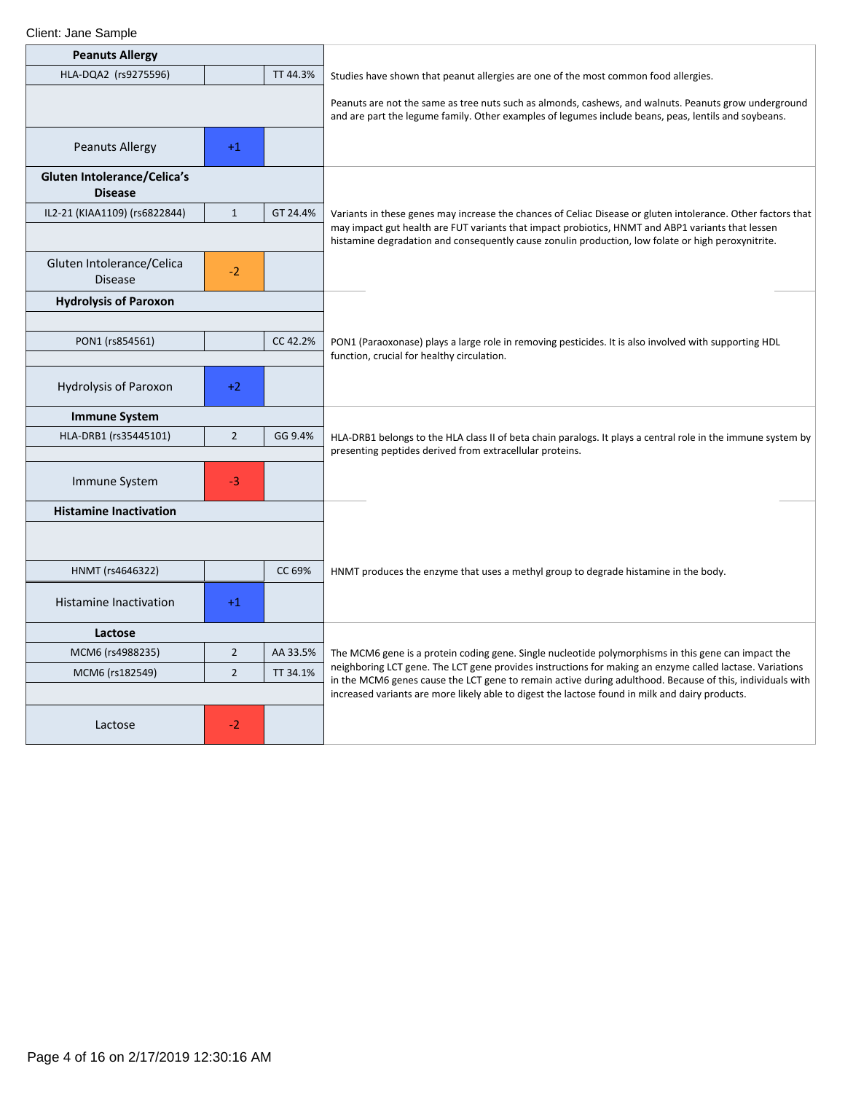| <b>Peanuts Allergy</b>                        |                |          |                                                                                                                                                                                                                       |
|-----------------------------------------------|----------------|----------|-----------------------------------------------------------------------------------------------------------------------------------------------------------------------------------------------------------------------|
| HLA-DQA2 (rs9275596)                          |                | TT 44.3% | Studies have shown that peanut allergies are one of the most common food allergies.                                                                                                                                   |
|                                               |                |          | Peanuts are not the same as tree nuts such as almonds, cashews, and walnuts. Peanuts grow underground<br>and are part the legume family. Other examples of legumes include beans, peas, lentils and soybeans.         |
| <b>Peanuts Allergy</b>                        | $+1$           |          |                                                                                                                                                                                                                       |
| Gluten Intolerance/Celica's<br><b>Disease</b> |                |          |                                                                                                                                                                                                                       |
| IL2-21 (KIAA1109) (rs6822844)                 | $\mathbf{1}$   | GT 24.4% | Variants in these genes may increase the chances of Celiac Disease or gluten intolerance. Other factors that                                                                                                          |
|                                               |                |          | may impact gut health are FUT variants that impact probiotics, HNMT and ABP1 variants that lessen<br>histamine degradation and consequently cause zonulin production, low folate or high peroxynitrite.               |
| Gluten Intolerance/Celica<br><b>Disease</b>   | $-2$           |          |                                                                                                                                                                                                                       |
| <b>Hydrolysis of Paroxon</b>                  |                |          |                                                                                                                                                                                                                       |
|                                               |                |          |                                                                                                                                                                                                                       |
| PON1 (rs854561)                               |                | CC 42.2% | PON1 (Paraoxonase) plays a large role in removing pesticides. It is also involved with supporting HDL<br>function, crucial for healthy circulation.                                                                   |
|                                               |                |          |                                                                                                                                                                                                                       |
| <b>Hydrolysis of Paroxon</b>                  | $+2$           |          |                                                                                                                                                                                                                       |
| <b>Immune System</b>                          |                |          |                                                                                                                                                                                                                       |
| HLA-DRB1 (rs35445101)                         | $\overline{2}$ | GG 9.4%  | HLA-DRB1 belongs to the HLA class II of beta chain paralogs. It plays a central role in the immune system by                                                                                                          |
|                                               |                |          | presenting peptides derived from extracellular proteins.                                                                                                                                                              |
| Immune System                                 | $-3$           |          |                                                                                                                                                                                                                       |
| <b>Histamine Inactivation</b>                 |                |          |                                                                                                                                                                                                                       |
|                                               |                |          |                                                                                                                                                                                                                       |
| HNMT (rs4646322)                              |                | CC 69%   | HNMT produces the enzyme that uses a methyl group to degrade histamine in the body.                                                                                                                                   |
| <b>Histamine Inactivation</b>                 | $+1$           |          |                                                                                                                                                                                                                       |
| Lactose                                       |                |          |                                                                                                                                                                                                                       |
| MCM6 (rs4988235)                              | $\overline{2}$ | AA 33.5% | The MCM6 gene is a protein coding gene. Single nucleotide polymorphisms in this gene can impact the                                                                                                                   |
| MCM6 (rs182549)                               | $\overline{2}$ | TT 34.1% | neighboring LCT gene. The LCT gene provides instructions for making an enzyme called lactase. Variations<br>in the MCM6 genes cause the LCT gene to remain active during adulthood. Because of this, individuals with |
|                                               |                |          | increased variants are more likely able to digest the lactose found in milk and dairy products.                                                                                                                       |
| Lactose                                       | $-2$           |          |                                                                                                                                                                                                                       |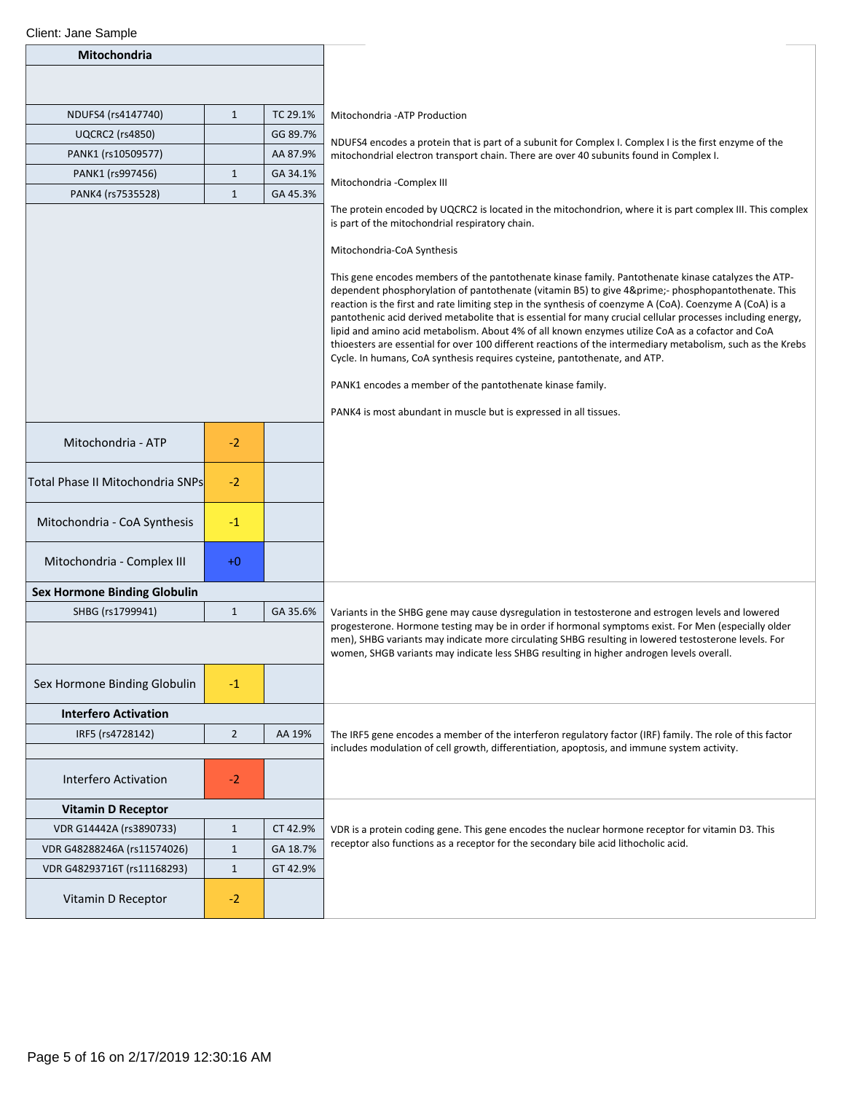| Client: Jane Sample                                        |                      |          |                                                                                                                                                                                                                                                                                                                                                                                                                                                                                                                                                                                                                                                                                                                                                                                                                                                                                                                                                                                                                                                                |
|------------------------------------------------------------|----------------------|----------|----------------------------------------------------------------------------------------------------------------------------------------------------------------------------------------------------------------------------------------------------------------------------------------------------------------------------------------------------------------------------------------------------------------------------------------------------------------------------------------------------------------------------------------------------------------------------------------------------------------------------------------------------------------------------------------------------------------------------------------------------------------------------------------------------------------------------------------------------------------------------------------------------------------------------------------------------------------------------------------------------------------------------------------------------------------|
| Mitochondria                                               |                      |          |                                                                                                                                                                                                                                                                                                                                                                                                                                                                                                                                                                                                                                                                                                                                                                                                                                                                                                                                                                                                                                                                |
|                                                            |                      |          |                                                                                                                                                                                                                                                                                                                                                                                                                                                                                                                                                                                                                                                                                                                                                                                                                                                                                                                                                                                                                                                                |
| NDUFS4 (rs4147740)                                         | $\mathbf{1}$         | TC 29.1% | Mitochondria - ATP Production                                                                                                                                                                                                                                                                                                                                                                                                                                                                                                                                                                                                                                                                                                                                                                                                                                                                                                                                                                                                                                  |
| <b>UQCRC2</b> (rs4850)                                     |                      | GG 89.7% |                                                                                                                                                                                                                                                                                                                                                                                                                                                                                                                                                                                                                                                                                                                                                                                                                                                                                                                                                                                                                                                                |
| PANK1 (rs10509577)                                         |                      | AA 87.9% | NDUFS4 encodes a protein that is part of a subunit for Complex I. Complex I is the first enzyme of the<br>mitochondrial electron transport chain. There are over 40 subunits found in Complex I.                                                                                                                                                                                                                                                                                                                                                                                                                                                                                                                                                                                                                                                                                                                                                                                                                                                               |
| PANK1 (rs997456)                                           | $\mathbf{1}$         | GA 34.1% |                                                                                                                                                                                                                                                                                                                                                                                                                                                                                                                                                                                                                                                                                                                                                                                                                                                                                                                                                                                                                                                                |
| PANK4 (rs7535528)                                          | $\mathbf{1}$         | GA 45.3% | Mitochondria - Complex III                                                                                                                                                                                                                                                                                                                                                                                                                                                                                                                                                                                                                                                                                                                                                                                                                                                                                                                                                                                                                                     |
| Mitochondria - ATP<br>Total Phase II Mitochondria SNPs     | $-2$<br>$-2$         |          | The protein encoded by UQCRC2 is located in the mitochondrion, where it is part complex III. This complex<br>is part of the mitochondrial respiratory chain.<br>Mitochondria-CoA Synthesis<br>This gene encodes members of the pantothenate kinase family. Pantothenate kinase catalyzes the ATP-<br>dependent phosphorylation of pantothenate (vitamin B5) to give 4′- phosphopantothenate. This<br>reaction is the first and rate limiting step in the synthesis of coenzyme A (CoA). Coenzyme A (CoA) is a<br>pantothenic acid derived metabolite that is essential for many crucial cellular processes including energy,<br>lipid and amino acid metabolism. About 4% of all known enzymes utilize CoA as a cofactor and CoA<br>thioesters are essential for over 100 different reactions of the intermediary metabolism, such as the Krebs<br>Cycle. In humans, CoA synthesis requires cysteine, pantothenate, and ATP.<br>PANK1 encodes a member of the pantothenate kinase family.<br>PANK4 is most abundant in muscle but is expressed in all tissues. |
| Mitochondria - CoA Synthesis<br>Mitochondria - Complex III | $-1$<br>$+0$         |          |                                                                                                                                                                                                                                                                                                                                                                                                                                                                                                                                                                                                                                                                                                                                                                                                                                                                                                                                                                                                                                                                |
|                                                            |                      |          |                                                                                                                                                                                                                                                                                                                                                                                                                                                                                                                                                                                                                                                                                                                                                                                                                                                                                                                                                                                                                                                                |
| <b>Sex Hormone Binding Globulin</b>                        |                      |          |                                                                                                                                                                                                                                                                                                                                                                                                                                                                                                                                                                                                                                                                                                                                                                                                                                                                                                                                                                                                                                                                |
| SHBG (rs1799941)<br>Sex Hormone Binding Globulin           | $\mathbf{1}$<br>$-1$ | GA 35.6% | Variants in the SHBG gene may cause dysregulation in testosterone and estrogen levels and lowered<br>progesterone. Hormone testing may be in order if hormonal symptoms exist. For Men (especially older<br>men), SHBG variants may indicate more circulating SHBG resulting in lowered testosterone levels. For<br>women, SHGB variants may indicate less SHBG resulting in higher androgen levels overall.                                                                                                                                                                                                                                                                                                                                                                                                                                                                                                                                                                                                                                                   |
|                                                            |                      |          |                                                                                                                                                                                                                                                                                                                                                                                                                                                                                                                                                                                                                                                                                                                                                                                                                                                                                                                                                                                                                                                                |
| <b>Interfero Activation</b>                                |                      |          |                                                                                                                                                                                                                                                                                                                                                                                                                                                                                                                                                                                                                                                                                                                                                                                                                                                                                                                                                                                                                                                                |
| IRF5 (rs4728142)<br>$\overline{2}$<br>AA 19%               |                      |          | The IRF5 gene encodes a member of the interferon regulatory factor (IRF) family. The role of this factor<br>includes modulation of cell growth, differentiation, apoptosis, and immune system activity.                                                                                                                                                                                                                                                                                                                                                                                                                                                                                                                                                                                                                                                                                                                                                                                                                                                        |
| Interfero Activation                                       | $-2$                 |          |                                                                                                                                                                                                                                                                                                                                                                                                                                                                                                                                                                                                                                                                                                                                                                                                                                                                                                                                                                                                                                                                |
| <b>Vitamin D Receptor</b>                                  |                      |          |                                                                                                                                                                                                                                                                                                                                                                                                                                                                                                                                                                                                                                                                                                                                                                                                                                                                                                                                                                                                                                                                |
| VDR G14442A (rs3890733)                                    | $\mathbf{1}$         | CT 42.9% | VDR is a protein coding gene. This gene encodes the nuclear hormone receptor for vitamin D3. This<br>receptor also functions as a receptor for the secondary bile acid lithocholic acid.                                                                                                                                                                                                                                                                                                                                                                                                                                                                                                                                                                                                                                                                                                                                                                                                                                                                       |
| VDR G48288246A (rs11574026)                                | $\mathbf{1}$         | GA 18.7% |                                                                                                                                                                                                                                                                                                                                                                                                                                                                                                                                                                                                                                                                                                                                                                                                                                                                                                                                                                                                                                                                |
| VDR G48293716T (rs11168293)                                | $1\,$                | GT 42.9% |                                                                                                                                                                                                                                                                                                                                                                                                                                                                                                                                                                                                                                                                                                                                                                                                                                                                                                                                                                                                                                                                |
| Vitamin D Receptor                                         | $-2$                 |          |                                                                                                                                                                                                                                                                                                                                                                                                                                                                                                                                                                                                                                                                                                                                                                                                                                                                                                                                                                                                                                                                |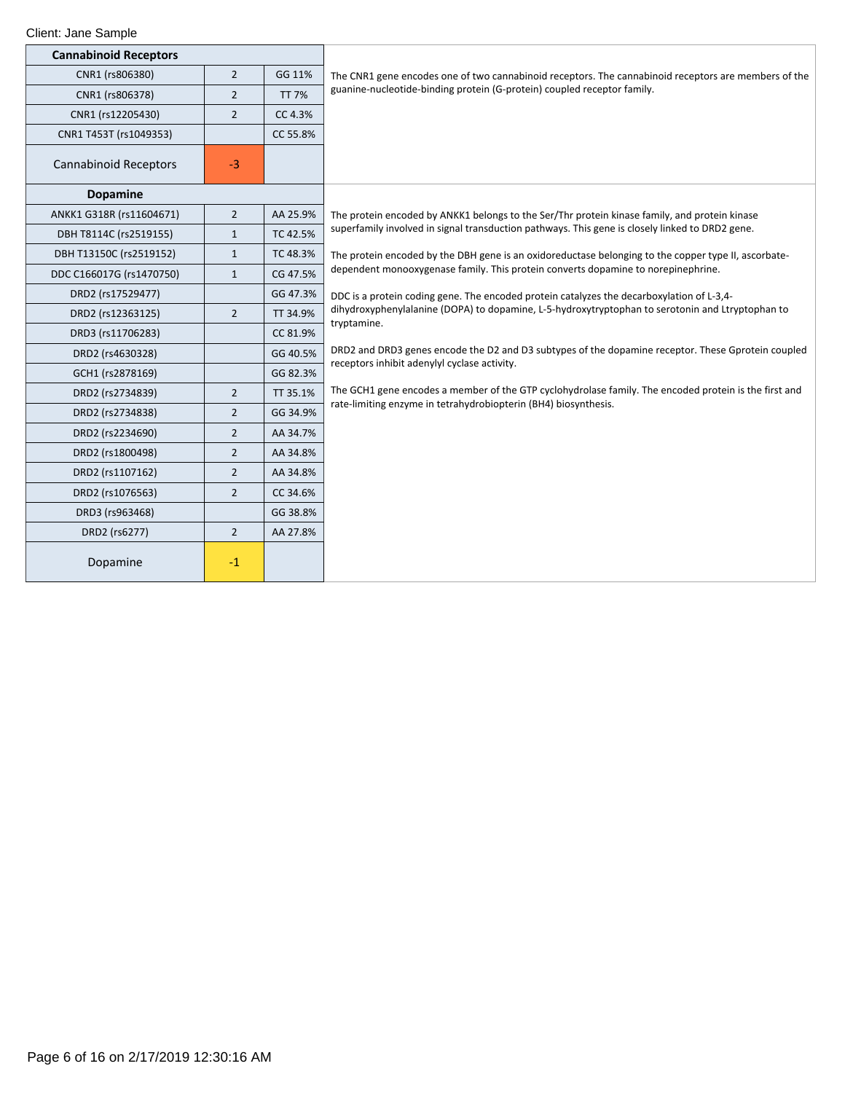| <b>Cannabinoid Receptors</b> |                |              |                                                                                                       |
|------------------------------|----------------|--------------|-------------------------------------------------------------------------------------------------------|
| CNR1 (rs806380)              | $\overline{2}$ | GG 11%       | The CNR1 gene encodes one of two cannabinoid receptors. The cannabinoid receptors are members of the  |
| CNR1 (rs806378)              | $\overline{2}$ | <b>TT 7%</b> | guanine-nucleotide-binding protein (G-protein) coupled receptor family.                               |
| CNR1 (rs12205430)            | $\overline{2}$ | CC 4.3%      |                                                                                                       |
| CNR1 T453T (rs1049353)       |                | CC 55.8%     |                                                                                                       |
| <b>Cannabinoid Receptors</b> | $-3$           |              |                                                                                                       |
| <b>Dopamine</b>              |                |              |                                                                                                       |
| ANKK1 G318R (rs11604671)     | $\overline{2}$ | AA 25.9%     | The protein encoded by ANKK1 belongs to the Ser/Thr protein kinase family, and protein kinase         |
| DBH T8114C (rs2519155)       | $\mathbf{1}$   | TC 42.5%     | superfamily involved in signal transduction pathways. This gene is closely linked to DRD2 gene.       |
| DBH T13150C (rs2519152)      | $\mathbf{1}$   | TC 48.3%     | The protein encoded by the DBH gene is an oxidoreductase belonging to the copper type II, ascorbate-  |
| DDC C166017G (rs1470750)     | $\mathbf{1}$   | CG 47.5%     | dependent monooxygenase family. This protein converts dopamine to norepinephrine.                     |
| DRD2 (rs17529477)            |                | GG 47.3%     | DDC is a protein coding gene. The encoded protein catalyzes the decarboxylation of L-3,4-             |
| DRD2 (rs12363125)            | $\overline{2}$ | TT 34.9%     | dihydroxyphenylalanine (DOPA) to dopamine, L-5-hydroxytryptophan to serotonin and Ltryptophan to      |
| DRD3 (rs11706283)            |                | CC 81.9%     | tryptamine.                                                                                           |
| DRD2 (rs4630328)             |                | GG 40.5%     | DRD2 and DRD3 genes encode the D2 and D3 subtypes of the dopamine receptor. These Gprotein coupled    |
| GCH1 (rs2878169)             |                | GG 82.3%     | receptors inhibit adenylyl cyclase activity.                                                          |
| DRD2 (rs2734839)             | $\overline{2}$ | TT 35.1%     | The GCH1 gene encodes a member of the GTP cyclohydrolase family. The encoded protein is the first and |
| DRD2 (rs2734838)             | $\overline{2}$ | GG 34.9%     | rate-limiting enzyme in tetrahydrobiopterin (BH4) biosynthesis.                                       |
| DRD2 (rs2234690)             | $\overline{2}$ | AA 34.7%     |                                                                                                       |
| DRD2 (rs1800498)             | $\overline{2}$ | AA 34.8%     |                                                                                                       |
| DRD2 (rs1107162)             | $\overline{2}$ | AA 34.8%     |                                                                                                       |
| DRD2 (rs1076563)             | $\overline{2}$ | CC 34.6%     |                                                                                                       |
| DRD3 (rs963468)              |                | GG 38.8%     |                                                                                                       |
| DRD2 (rs6277)                | $\overline{2}$ | AA 27.8%     |                                                                                                       |
| Dopamine                     | $-1$           |              |                                                                                                       |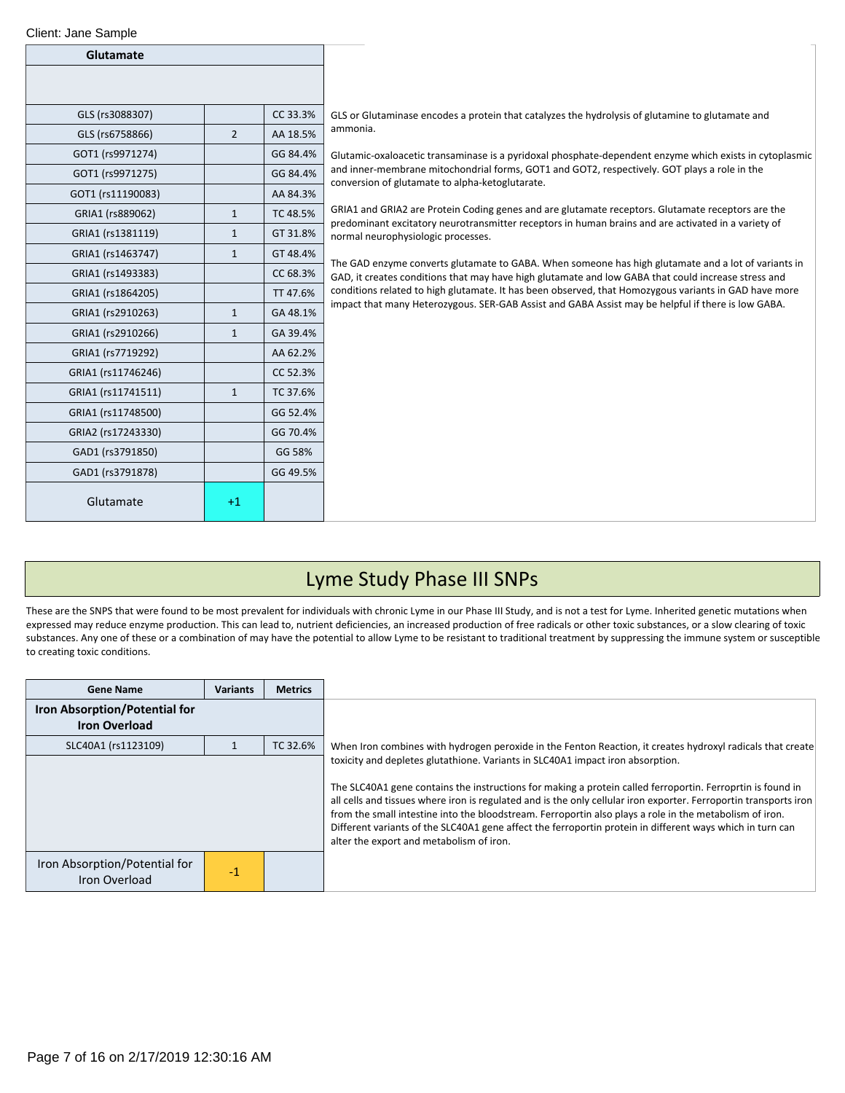| Glutamate          |                |          |
|--------------------|----------------|----------|
|                    |                |          |
| GLS (rs3088307)    |                | CC 33.3% |
| GLS (rs6758866)    | $\overline{2}$ | AA 18.5% |
| GOT1 (rs9971274)   |                | GG 84.4% |
| GOT1 (rs9971275)   |                | GG 84.4% |
| GOT1 (rs11190083)  |                | AA 84.3% |
| GRIA1 (rs889062)   | $\mathbf{1}$   | TC 48.5% |
| GRIA1 (rs1381119)  | 1              | GT 31.8% |
| GRIA1 (rs1463747)  | $\mathbf{1}$   | GT 48.4% |
| GRIA1 (rs1493383)  |                | CC 68.3% |
| GRIA1 (rs1864205)  |                | TT 47.6% |
| GRIA1 (rs2910263)  | $\mathbf{1}$   | GA 48.1% |
| GRIA1 (rs2910266)  | $\mathbf{1}$   | GA 39.4% |
| GRIA1 (rs7719292)  |                | AA 62.2% |
| GRIA1 (rs11746246) |                | CC 52.3% |
| GRIA1 (rs11741511) | $\mathbf{1}$   | TC 37.6% |
| GRIA1 (rs11748500) |                | GG 52.4% |
| GRIA2 (rs17243330) |                | GG 70.4% |
| GAD1 (rs3791850)   |                | GG 58%   |
| GAD1 (rs3791878)   |                | GG 49.5% |
| Glutamate          | $+1$           |          |

GLS or Glutaminase encodes a protein that catalyzes the hydrolysis of glutamine to glutamate and ammonia.

Glutamic-oxaloacetic transaminase is a pyridoxal phosphate-dependent enzyme which exists in cytoplasmic and inner-membrane mitochondrial forms, GOT1 and GOT2, respectively. GOT plays a role in the conversion of glutamate to alpha-ketoglutarate.

GRIA1 and GRIA2 are Protein Coding genes and are glutamate receptors. Glutamate receptors are the predominant excitatory neurotransmitter receptors in human brains and are activated in a variety of normal neurophysiologic processes.

The GAD enzyme converts glutamate to GABA. When someone has high glutamate and a lot of variants in GAD, it creates conditions that may have high glutamate and low GABA that could increase stress and conditions related to high glutamate. It has been observed, that Homozygous variants in GAD have more impact that many Heterozygous. SER-GAB Assist and GABA Assist may be helpful if there is low GABA.

### Lyme Study Phase III SNPs

These are the SNPS that were found to be most prevalent for individuals with chronic Lyme in our Phase III Study, and is not a test for Lyme. Inherited genetic mutations when expressed may reduce enzyme production. This can lead to, nutrient deficiencies, an increased production of free radicals or other toxic substances, or a slow clearing of toxic substances. Any one of these or a combination of may have the potential to allow Lyme to be resistant to traditional treatment by suppressing the immune system or susceptible to creating toxic conditions.

| <b>Gene Name</b>                                      | <b>Variants</b> | <b>Metrics</b> |                                                                                                                                                                                                                                                                                                                                                                                                                                                                                                                                                                                       |
|-------------------------------------------------------|-----------------|----------------|---------------------------------------------------------------------------------------------------------------------------------------------------------------------------------------------------------------------------------------------------------------------------------------------------------------------------------------------------------------------------------------------------------------------------------------------------------------------------------------------------------------------------------------------------------------------------------------|
| Iron Absorption/Potential for<br><b>Iron Overload</b> |                 |                |                                                                                                                                                                                                                                                                                                                                                                                                                                                                                                                                                                                       |
| SLC40A1 (rs1123109)                                   |                 | TC 32.6%       | When Iron combines with hydrogen peroxide in the Fenton Reaction, it creates hydroxyl radicals that create                                                                                                                                                                                                                                                                                                                                                                                                                                                                            |
|                                                       |                 |                | toxicity and depletes glutathione. Variants in SLC40A1 impact iron absorption.<br>The SLC40A1 gene contains the instructions for making a protein called ferroportin. Ferroprtin is found in<br>all cells and tissues where iron is regulated and is the only cellular iron exporter. Ferroportin transports iron<br>from the small intestine into the bloodstream. Ferroportin also plays a role in the metabolism of iron.<br>Different variants of the SLC40A1 gene affect the ferroportin protein in different ways which in turn can<br>alter the export and metabolism of iron. |
| Iron Absorption/Potential for<br>Iron Overload        | $-1$            |                |                                                                                                                                                                                                                                                                                                                                                                                                                                                                                                                                                                                       |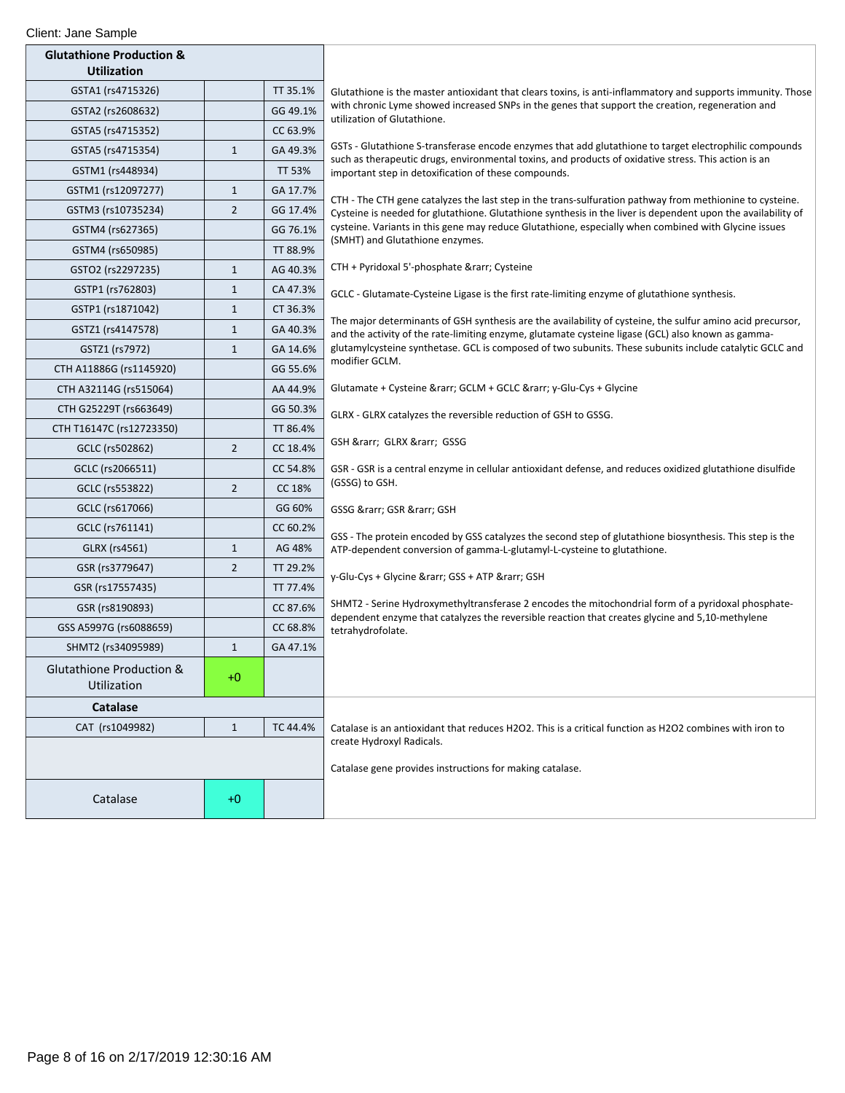| Client: Jane Sample                                       |                |               |                                                                                                                                                                                                                  |
|-----------------------------------------------------------|----------------|---------------|------------------------------------------------------------------------------------------------------------------------------------------------------------------------------------------------------------------|
| <b>Glutathione Production &amp;</b><br><b>Utilization</b> |                |               |                                                                                                                                                                                                                  |
| GSTA1 (rs4715326)                                         |                | TT 35.1%      | Glutathione is the master antioxidant that clears toxins, is anti-inflammatory and supports immunity. Those                                                                                                      |
| GSTA2 (rs2608632)                                         |                | GG 49.1%      | with chronic Lyme showed increased SNPs in the genes that support the creation, regeneration and<br>utilization of Glutathione.                                                                                  |
| GSTA5 (rs4715352)                                         |                | CC 63.9%      |                                                                                                                                                                                                                  |
| GSTA5 (rs4715354)                                         | $\mathbf{1}$   | GA 49.3%      | GSTs - Glutathione S-transferase encode enzymes that add glutathione to target electrophilic compounds<br>such as therapeutic drugs, environmental toxins, and products of oxidative stress. This action is an   |
| GSTM1 (rs448934)                                          |                | <b>TT 53%</b> | important step in detoxification of these compounds.                                                                                                                                                             |
| GSTM1 (rs12097277)                                        | $\mathbf{1}$   | GA 17.7%      | CTH - The CTH gene catalyzes the last step in the trans-sulfuration pathway from methionine to cysteine.                                                                                                         |
| GSTM3 (rs10735234)                                        | $\overline{2}$ | GG 17.4%      | Cysteine is needed for glutathione. Glutathione synthesis in the liver is dependent upon the availability of                                                                                                     |
| GSTM4 (rs627365)                                          |                | GG 76.1%      | cysteine. Variants in this gene may reduce Glutathione, especially when combined with Glycine issues<br>(SMHT) and Glutathione enzymes.                                                                          |
| GSTM4 (rs650985)                                          |                | TT 88.9%      |                                                                                                                                                                                                                  |
| GSTO2 (rs2297235)                                         | $\mathbf{1}$   | AG 40.3%      | CTH + Pyridoxal 5'-phosphate → Cysteine                                                                                                                                                                          |
| GSTP1 (rs762803)                                          | $\mathbf{1}$   | CA 47.3%      | GCLC - Glutamate-Cysteine Ligase is the first rate-limiting enzyme of glutathione synthesis.                                                                                                                     |
| GSTP1 (rs1871042)                                         | $\mathbf{1}$   | CT 36.3%      |                                                                                                                                                                                                                  |
| GSTZ1 (rs4147578)                                         | $\mathbf{1}$   | GA 40.3%      | The major determinants of GSH synthesis are the availability of cysteine, the sulfur amino acid precursor,<br>and the activity of the rate-limiting enzyme, glutamate cysteine ligase (GCL) also known as gamma- |
| GSTZ1 (rs7972)                                            | $\mathbf{1}$   | GA 14.6%      | glutamylcysteine synthetase. GCL is composed of two subunits. These subunits include catalytic GCLC and                                                                                                          |
| CTH A11886G (rs1145920)                                   |                | GG 55.6%      | modifier GCLM.                                                                                                                                                                                                   |
| CTH A32114G (rs515064)                                    |                | AA 44.9%      | Glutamate + Cysteine → GCLM + GCLC → y-Glu-Cys + Glycine                                                                                                                                                         |
| CTH G25229T (rs663649)                                    |                | GG 50.3%      | GLRX - GLRX catalyzes the reversible reduction of GSH to GSSG.                                                                                                                                                   |
| CTH T16147C (rs12723350)                                  |                | TT 86.4%      |                                                                                                                                                                                                                  |
| GCLC (rs502862)                                           | $\overline{2}$ | CC 18.4%      | GSH → GLRX → GSSG                                                                                                                                                                                                |
| GCLC (rs2066511)                                          |                | CC 54.8%      | GSR - GSR is a central enzyme in cellular antioxidant defense, and reduces oxidized glutathione disulfide                                                                                                        |
| GCLC (rs553822)                                           | $\overline{2}$ | CC 18%        | (GSSG) to GSH.                                                                                                                                                                                                   |
| GCLC (rs617066)                                           |                | GG 60%        | GSSG → GSR → GSH                                                                                                                                                                                                 |
| GCLC (rs761141)                                           |                | CC 60.2%      | GSS - The protein encoded by GSS catalyzes the second step of glutathione biosynthesis. This step is the                                                                                                         |
| GLRX (rs4561)                                             | $\mathbf{1}$   | AG 48%        | ATP-dependent conversion of gamma-L-glutamyl-L-cysteine to glutathione.                                                                                                                                          |
| GSR (rs3779647)                                           | $\overline{2}$ | TT 29.2%      | y-Glu-Cys + Glycine → GSS + ATP → GSH                                                                                                                                                                            |
| GSR (rs17557435)                                          |                | TT 77.4%      |                                                                                                                                                                                                                  |
| GSR (rs8190893)                                           |                | CC 87.6%      | SHMT2 - Serine Hydroxymethyltransferase 2 encodes the mitochondrial form of a pyridoxal phosphate-<br>dependent enzyme that catalyzes the reversible reaction that creates glycine and 5,10-methylene            |
| GSS A5997G (rs6088659)                                    |                | CC 68.8%      | tetrahydrofolate.                                                                                                                                                                                                |
| SHMT2 (rs34095989)                                        | $\mathbf{1}$   | GA 47.1%      |                                                                                                                                                                                                                  |
| <b>Glutathione Production &amp;</b><br>Utilization        | $+0$           |               |                                                                                                                                                                                                                  |
| <b>Catalase</b>                                           |                |               |                                                                                                                                                                                                                  |
| CAT (rs1049982)                                           | $\mathbf{1}$   | TC 44.4%      | Catalase is an antioxidant that reduces H2O2. This is a critical function as H2O2 combines with iron to                                                                                                          |
|                                                           |                |               | create Hydroxyl Radicals.<br>Catalase gene provides instructions for making catalase.                                                                                                                            |
| Catalase                                                  | $+0$           |               |                                                                                                                                                                                                                  |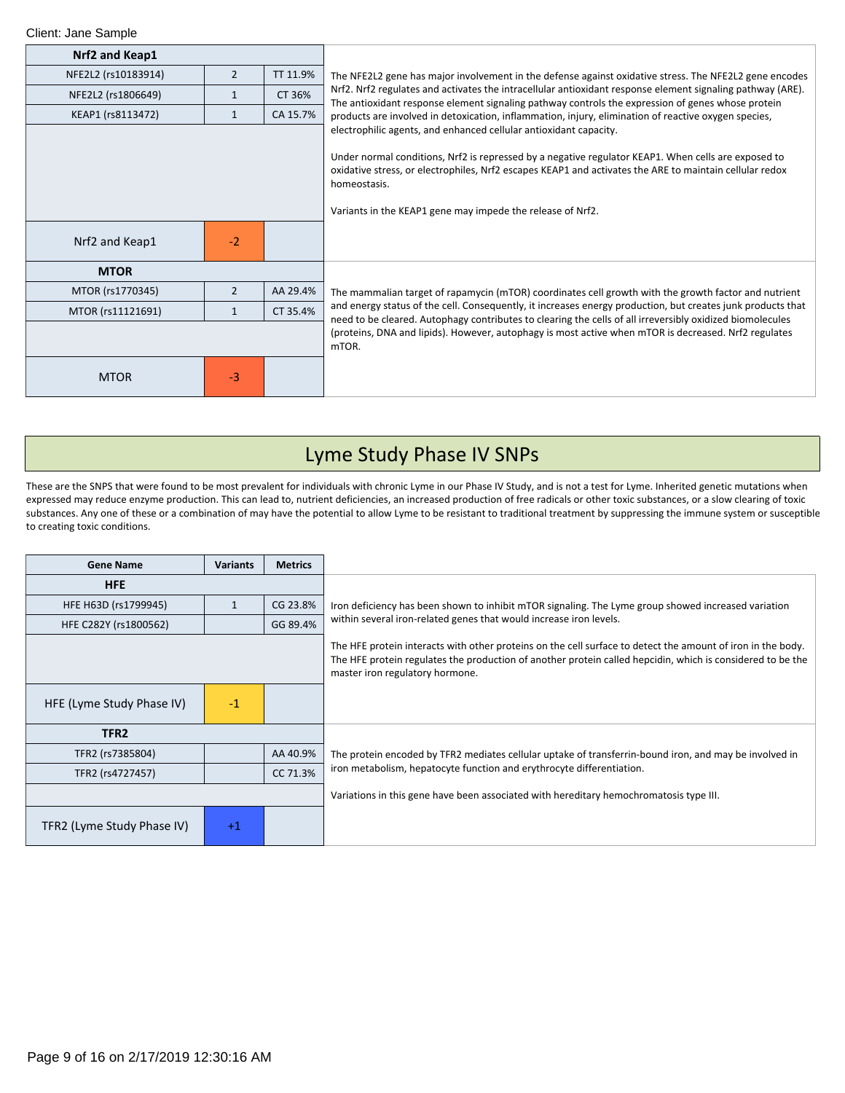| Nrf2 and Keap1      |                |          |                                                                                                                                                                                                                                                                                                     |
|---------------------|----------------|----------|-----------------------------------------------------------------------------------------------------------------------------------------------------------------------------------------------------------------------------------------------------------------------------------------------------|
| NFE2L2 (rs10183914) | $\overline{2}$ | TT 11.9% | The NFE2L2 gene has major involvement in the defense against oxidative stress. The NFE2L2 gene encodes                                                                                                                                                                                              |
| NFE2L2 (rs1806649)  | $\mathbf{1}$   | CT 36%   | Nrf2. Nrf2 regulates and activates the intracellular antioxidant response element signaling pathway (ARE).<br>The antioxidant response element signaling pathway controls the expression of genes whose protein                                                                                     |
| KEAP1 (rs8113472)   | $\mathbf{1}$   | CA 15.7% | products are involved in detoxication, inflammation, injury, elimination of reactive oxygen species,                                                                                                                                                                                                |
|                     |                |          | electrophilic agents, and enhanced cellular antioxidant capacity.<br>Under normal conditions, Nrf2 is repressed by a negative regulator KEAP1. When cells are exposed to<br>oxidative stress, or electrophiles, Nrf2 escapes KEAP1 and activates the ARE to maintain cellular redox<br>homeostasis. |
|                     |                |          | Variants in the KEAP1 gene may impede the release of Nrf2.                                                                                                                                                                                                                                          |
| Nrf2 and Keap1      | $-2$           |          |                                                                                                                                                                                                                                                                                                     |
| <b>MTOR</b>         |                |          |                                                                                                                                                                                                                                                                                                     |
| MTOR (rs1770345)    | $\overline{2}$ | AA 29.4% | The mammalian target of rapamycin (mTOR) coordinates cell growth with the growth factor and nutrient                                                                                                                                                                                                |
| MTOR (rs11121691)   | $\mathbf{1}$   | CT 35.4% | and energy status of the cell. Consequently, it increases energy production, but creates junk products that<br>need to be cleared. Autophagy contributes to clearing the cells of all irreversibly oxidized biomolecules                                                                            |
|                     |                |          | (proteins, DNA and lipids). However, autophagy is most active when mTOR is decreased. Nrf2 regulates<br>mTOR.                                                                                                                                                                                       |
| <b>MTOR</b>         | $-3$           |          |                                                                                                                                                                                                                                                                                                     |

# Lyme Study Phase IV SNPs

These are the SNPS that were found to be most prevalent for individuals with chronic Lyme in our Phase IV Study, and is not a test for Lyme. Inherited genetic mutations when expressed may reduce enzyme production. This can lead to, nutrient deficiencies, an increased production of free radicals or other toxic substances, or a slow clearing of toxic substances. Any one of these or a combination of may have the potential to allow Lyme to be resistant to traditional treatment by suppressing the immune system or susceptible to creating toxic conditions.

| <b>Gene Name</b>           | <b>Variants</b> | <b>Metrics</b> |                                                                                                                                                                                                                                                              |
|----------------------------|-----------------|----------------|--------------------------------------------------------------------------------------------------------------------------------------------------------------------------------------------------------------------------------------------------------------|
| <b>HFE</b>                 |                 |                |                                                                                                                                                                                                                                                              |
| HFE H63D (rs1799945)       | 1               | CG 23.8%       | Iron deficiency has been shown to inhibit mTOR signaling. The Lyme group showed increased variation                                                                                                                                                          |
| HFE C282Y (rs1800562)      |                 | GG 89.4%       | within several iron-related genes that would increase iron levels.                                                                                                                                                                                           |
|                            |                 |                | The HFE protein interacts with other proteins on the cell surface to detect the amount of iron in the body.<br>The HFE protein regulates the production of another protein called hepcidin, which is considered to be the<br>master iron regulatory hormone. |
| HFE (Lyme Study Phase IV)  | $-1$            |                |                                                                                                                                                                                                                                                              |
| TFR <sub>2</sub>           |                 |                |                                                                                                                                                                                                                                                              |
| TFR2 (rs7385804)           |                 | AA 40.9%       | The protein encoded by TFR2 mediates cellular uptake of transferrin-bound iron, and may be involved in                                                                                                                                                       |
| TFR2 (rs4727457)           |                 | CC 71.3%       | iron metabolism, hepatocyte function and erythrocyte differentiation.                                                                                                                                                                                        |
|                            |                 |                | Variations in this gene have been associated with hereditary hemochromatosis type III.                                                                                                                                                                       |
| TFR2 (Lyme Study Phase IV) | $+1$            |                |                                                                                                                                                                                                                                                              |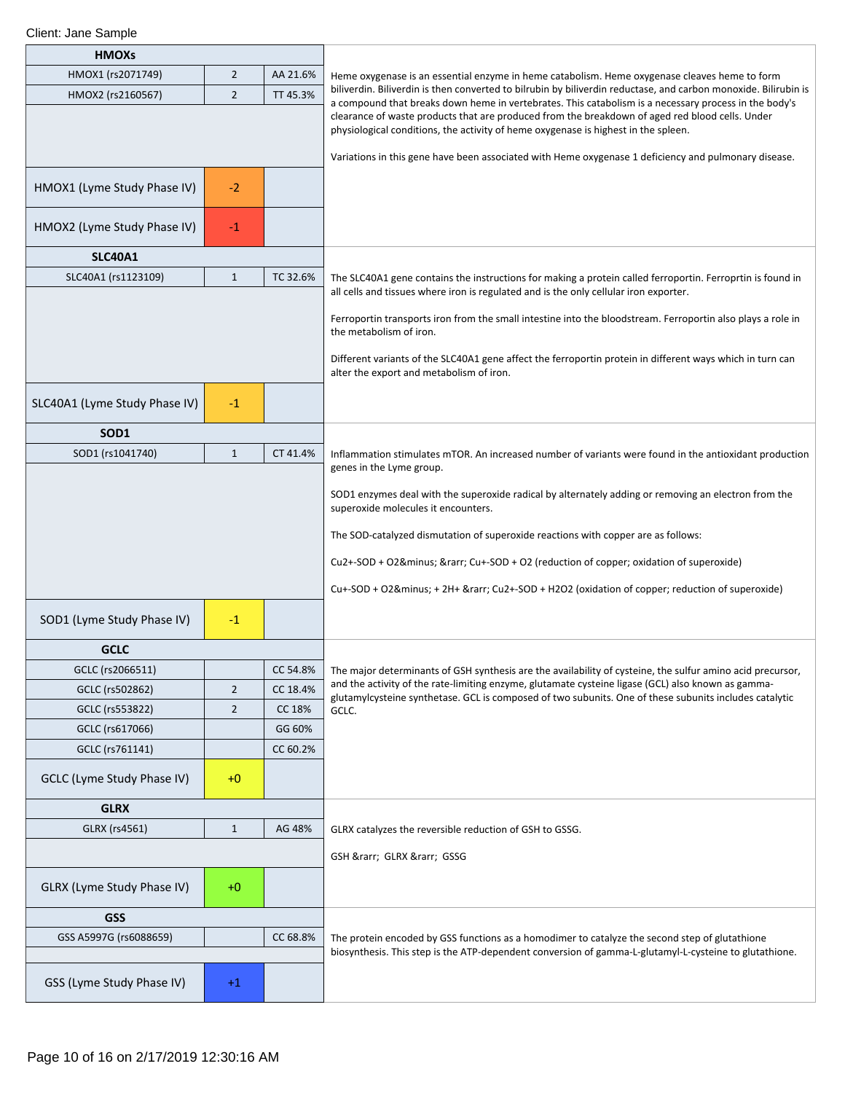| <b>HMOXs</b>                  |                |          |                                                                                                                                                                                                                                                                                                |
|-------------------------------|----------------|----------|------------------------------------------------------------------------------------------------------------------------------------------------------------------------------------------------------------------------------------------------------------------------------------------------|
| HMOX1 (rs2071749)             | $\overline{2}$ | AA 21.6% | Heme oxygenase is an essential enzyme in heme catabolism. Heme oxygenase cleaves heme to form                                                                                                                                                                                                  |
| HMOX2 (rs2160567)             | $\overline{2}$ | TT 45.3% | biliverdin. Biliverdin is then converted to bilrubin by biliverdin reductase, and carbon monoxide. Bilirubin is                                                                                                                                                                                |
|                               |                |          | a compound that breaks down heme in vertebrates. This catabolism is a necessary process in the body's<br>clearance of waste products that are produced from the breakdown of aged red blood cells. Under<br>physiological conditions, the activity of heme oxygenase is highest in the spleen. |
|                               |                |          | Variations in this gene have been associated with Heme oxygenase 1 deficiency and pulmonary disease.                                                                                                                                                                                           |
| HMOX1 (Lyme Study Phase IV)   | $-2$           |          |                                                                                                                                                                                                                                                                                                |
| HMOX2 (Lyme Study Phase IV)   | $-1$           |          |                                                                                                                                                                                                                                                                                                |
| <b>SLC40A1</b>                |                |          |                                                                                                                                                                                                                                                                                                |
| SLC40A1 (rs1123109)           | $\mathbf{1}$   | TC 32.6% | The SLC40A1 gene contains the instructions for making a protein called ferroportin. Ferroprtin is found in                                                                                                                                                                                     |
|                               |                |          | all cells and tissues where iron is regulated and is the only cellular iron exporter.                                                                                                                                                                                                          |
|                               |                |          | Ferroportin transports iron from the small intestine into the bloodstream. Ferroportin also plays a role in<br>the metabolism of iron.                                                                                                                                                         |
|                               |                |          | Different variants of the SLC40A1 gene affect the ferroportin protein in different ways which in turn can<br>alter the export and metabolism of iron.                                                                                                                                          |
| SLC40A1 (Lyme Study Phase IV) | $-1$           |          |                                                                                                                                                                                                                                                                                                |
| SOD1                          |                |          |                                                                                                                                                                                                                                                                                                |
| SOD1 (rs1041740)              | $\mathbf{1}$   | CT 41.4% | Inflammation stimulates mTOR. An increased number of variants were found in the antioxidant production                                                                                                                                                                                         |
|                               |                |          | genes in the Lyme group.                                                                                                                                                                                                                                                                       |
|                               |                |          | SOD1 enzymes deal with the superoxide radical by alternately adding or removing an electron from the<br>superoxide molecules it encounters.                                                                                                                                                    |
|                               |                |          | The SOD-catalyzed dismutation of superoxide reactions with copper are as follows:                                                                                                                                                                                                              |
|                               |                |          | Cu2+-SOD + O2− → Cu+-SOD + O2 (reduction of copper; oxidation of superoxide)                                                                                                                                                                                                                   |
|                               |                |          | Cu+-SOD + O2− + 2H+ → Cu2+-SOD + H2O2 (oxidation of copper; reduction of superoxide)                                                                                                                                                                                                           |
| SOD1 (Lyme Study Phase IV)    | $-1$           |          |                                                                                                                                                                                                                                                                                                |
| <b>GCLC</b>                   |                |          |                                                                                                                                                                                                                                                                                                |
| GCLC (rs2066511)              |                | CC 54.8% | The major determinants of GSH synthesis are the availability of cysteine, the sulfur amino acid precursor,                                                                                                                                                                                     |
| GCLC (rs502862)               | $\overline{2}$ | CC 18.4% | and the activity of the rate-limiting enzyme, glutamate cysteine ligase (GCL) also known as gamma-<br>glutamylcysteine synthetase. GCL is composed of two subunits. One of these subunits includes catalytic                                                                                   |
| GCLC (rs553822)               | $\overline{2}$ | CC 18%   | GCLC.                                                                                                                                                                                                                                                                                          |
| GCLC (rs617066)               |                | GG 60%   |                                                                                                                                                                                                                                                                                                |
| GCLC (rs761141)               |                | CC 60.2% |                                                                                                                                                                                                                                                                                                |
| GCLC (Lyme Study Phase IV)    | $+0$           |          |                                                                                                                                                                                                                                                                                                |
| <b>GLRX</b>                   |                |          |                                                                                                                                                                                                                                                                                                |
| GLRX (rs4561)                 | $\mathbf{1}$   | AG 48%   | GLRX catalyzes the reversible reduction of GSH to GSSG.                                                                                                                                                                                                                                        |
|                               |                |          | GSH → GLRX → GSSG                                                                                                                                                                                                                                                                              |
| GLRX (Lyme Study Phase IV)    | $+0$           |          |                                                                                                                                                                                                                                                                                                |
| <b>GSS</b>                    |                |          |                                                                                                                                                                                                                                                                                                |
| GSS A5997G (rs6088659)        |                | CC 68.8% | The protein encoded by GSS functions as a homodimer to catalyze the second step of glutathione                                                                                                                                                                                                 |
|                               |                |          | biosynthesis. This step is the ATP-dependent conversion of gamma-L-glutamyl-L-cysteine to glutathione.                                                                                                                                                                                         |
| GSS (Lyme Study Phase IV)     | $+1$           |          |                                                                                                                                                                                                                                                                                                |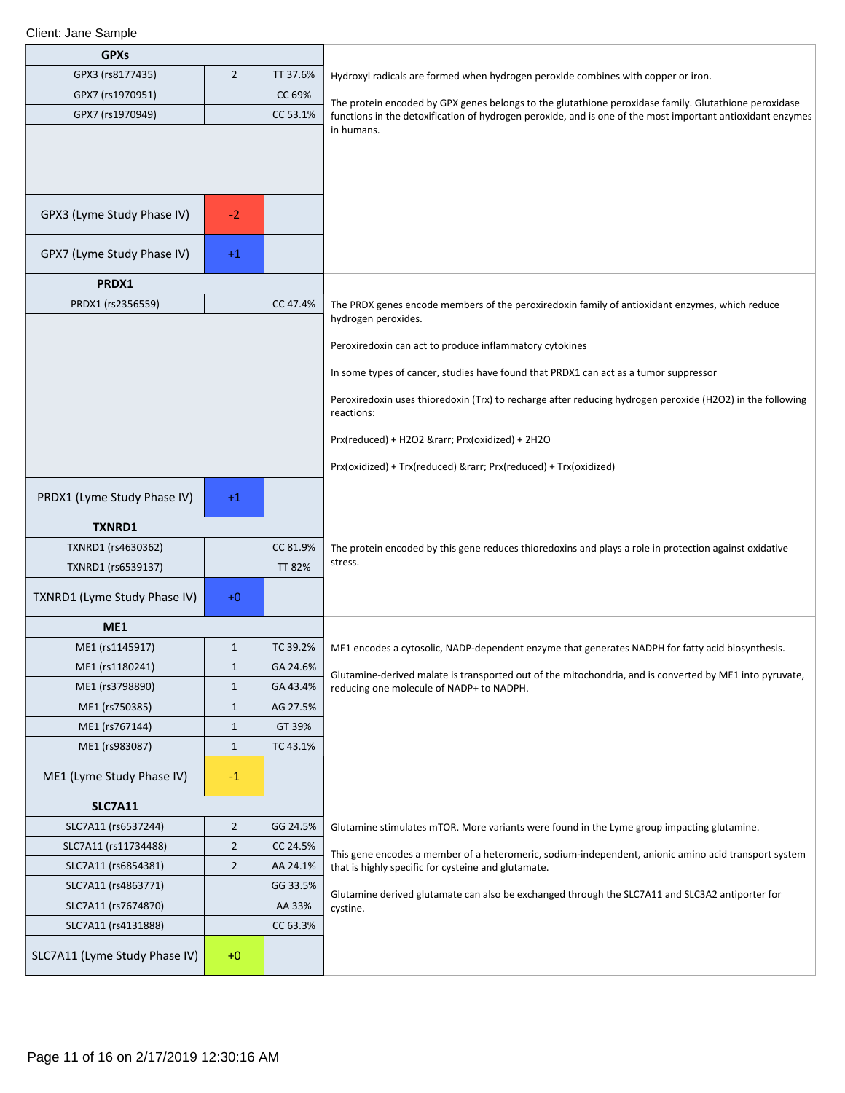| <b>GPXs</b>                   |                |               |                                                                                                                                                             |
|-------------------------------|----------------|---------------|-------------------------------------------------------------------------------------------------------------------------------------------------------------|
| GPX3 (rs8177435)              | $\overline{2}$ | TT 37.6%      | Hydroxyl radicals are formed when hydrogen peroxide combines with copper or iron.                                                                           |
| GPX7 (rs1970951)              |                | CC 69%        | The protein encoded by GPX genes belongs to the glutathione peroxidase family. Glutathione peroxidase                                                       |
| GPX7 (rs1970949)              |                | CC 53.1%      | functions in the detoxification of hydrogen peroxide, and is one of the most important antioxidant enzymes                                                  |
|                               |                |               | in humans.                                                                                                                                                  |
|                               |                |               |                                                                                                                                                             |
|                               |                |               |                                                                                                                                                             |
|                               |                |               |                                                                                                                                                             |
| GPX3 (Lyme Study Phase IV)    | $-2$           |               |                                                                                                                                                             |
|                               |                |               |                                                                                                                                                             |
| GPX7 (Lyme Study Phase IV)    | $+1$           |               |                                                                                                                                                             |
| PRDX1                         |                |               |                                                                                                                                                             |
| PRDX1 (rs2356559)             |                | CC 47.4%      | The PRDX genes encode members of the peroxiredoxin family of antioxidant enzymes, which reduce                                                              |
|                               |                |               | hydrogen peroxides.                                                                                                                                         |
|                               |                |               | Peroxiredoxin can act to produce inflammatory cytokines                                                                                                     |
|                               |                |               | In some types of cancer, studies have found that PRDX1 can act as a tumor suppressor                                                                        |
|                               |                |               | Peroxiredoxin uses thioredoxin (Trx) to recharge after reducing hydrogen peroxide (H2O2) in the following                                                   |
|                               |                |               | reactions:                                                                                                                                                  |
|                               |                |               | Prx(reduced) + H2O2 → Prx(oxidized) + 2H2O                                                                                                                  |
|                               |                |               | Prx(oxidized) + Trx(reduced) & rarr; Prx(reduced) + Trx(oxidized)                                                                                           |
|                               |                |               |                                                                                                                                                             |
| PRDX1 (Lyme Study Phase IV)   | $+1$           |               |                                                                                                                                                             |
| <b>TXNRD1</b>                 |                |               |                                                                                                                                                             |
| TXNRD1 (rs4630362)            |                | CC 81.9%      | The protein encoded by this gene reduces thioredoxins and plays a role in protection against oxidative                                                      |
| TXNRD1 (rs6539137)            |                | <b>TT 82%</b> | stress.                                                                                                                                                     |
| TXNRD1 (Lyme Study Phase IV)  | $+0$           |               |                                                                                                                                                             |
|                               |                |               |                                                                                                                                                             |
| ME1                           |                |               |                                                                                                                                                             |
| ME1 (rs1145917)               | $\mathbf{1}$   | TC 39.2%      | ME1 encodes a cytosolic, NADP-dependent enzyme that generates NADPH for fatty acid biosynthesis.                                                            |
| ME1 (rs1180241)               | $\mathbf{1}$   | GA 24.6%      | Glutamine-derived malate is transported out of the mitochondria, and is converted by ME1 into pyruvate,                                                     |
| ME1 (rs3798890)               | $\mathbf{1}$   | GA 43.4%      | reducing one molecule of NADP+ to NADPH.                                                                                                                    |
| ME1 (rs750385)                | $\mathbf{1}$   | AG 27.5%      |                                                                                                                                                             |
| ME1 (rs767144)                | $\mathbf{1}$   | GT 39%        |                                                                                                                                                             |
| ME1 (rs983087)                | $\mathbf{1}$   | TC 43.1%      |                                                                                                                                                             |
| ME1 (Lyme Study Phase IV)     | $-1$           |               |                                                                                                                                                             |
| <b>SLC7A11</b>                |                |               |                                                                                                                                                             |
| SLC7A11 (rs6537244)           | $\overline{2}$ | GG 24.5%      | Glutamine stimulates mTOR. More variants were found in the Lyme group impacting glutamine.                                                                  |
| SLC7A11 (rs11734488)          | $\overline{2}$ | CC 24.5%      |                                                                                                                                                             |
| SLC7A11 (rs6854381)           | $\overline{2}$ | AA 24.1%      | This gene encodes a member of a heteromeric, sodium-independent, anionic amino acid transport system<br>that is highly specific for cysteine and glutamate. |
| SLC7A11 (rs4863771)           |                | GG 33.5%      |                                                                                                                                                             |
| SLC7A11 (rs7674870)           |                | AA 33%        | Glutamine derived glutamate can also be exchanged through the SLC7A11 and SLC3A2 antiporter for<br>cystine.                                                 |
| SLC7A11 (rs4131888)           |                | CC 63.3%      |                                                                                                                                                             |
| SLC7A11 (Lyme Study Phase IV) | $+0$           |               |                                                                                                                                                             |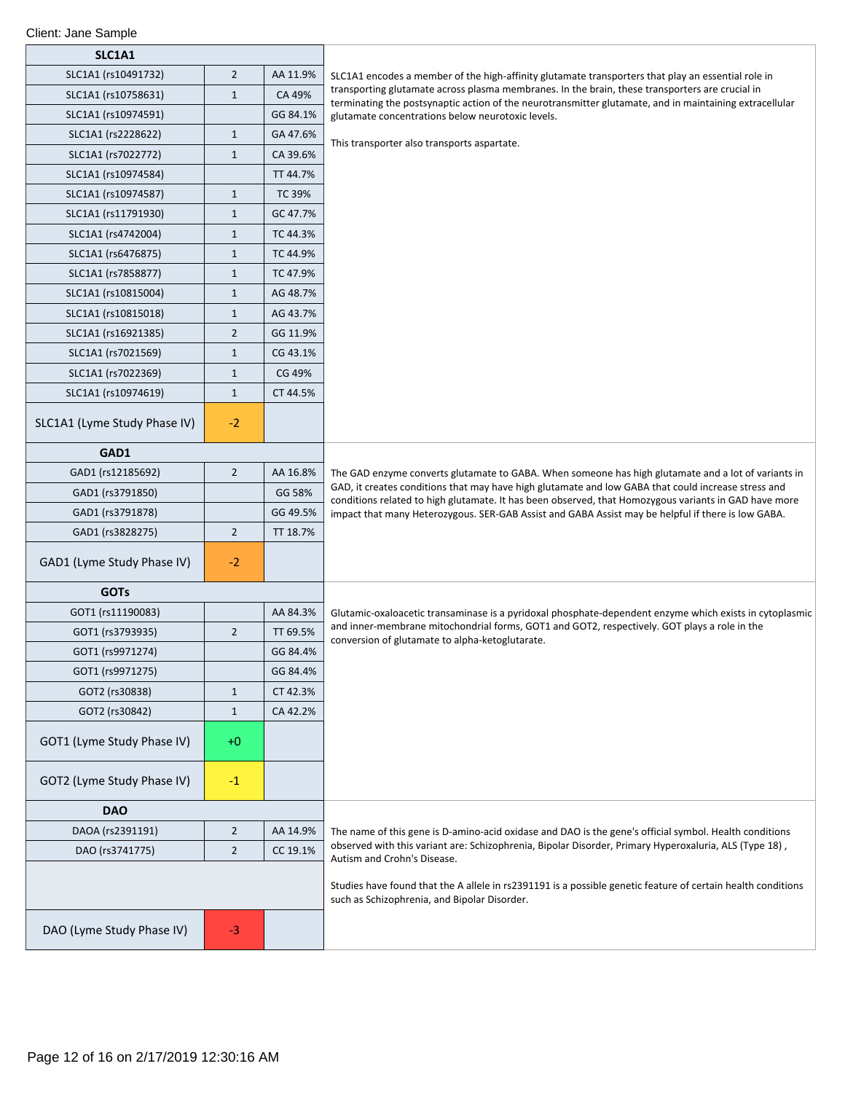| SLC1A1                       |                |          |                                                                                                                                                                                                              |  |
|------------------------------|----------------|----------|--------------------------------------------------------------------------------------------------------------------------------------------------------------------------------------------------------------|--|
| SLC1A1 (rs10491732)          | $\overline{2}$ | AA 11.9% | SLC1A1 encodes a member of the high-affinity glutamate transporters that play an essential role in                                                                                                           |  |
| SLC1A1 (rs10758631)          | $1\,$          | CA 49%   | transporting glutamate across plasma membranes. In the brain, these transporters are crucial in<br>terminating the postsynaptic action of the neurotransmitter glutamate, and in maintaining extracellular   |  |
| SLC1A1 (rs10974591)          |                | GG 84.1% | glutamate concentrations below neurotoxic levels.                                                                                                                                                            |  |
| SLC1A1 (rs2228622)           | $\mathbf{1}$   | GA 47.6% | This transporter also transports aspartate.                                                                                                                                                                  |  |
| SLC1A1 (rs7022772)           | $1\,$          | CA 39.6% |                                                                                                                                                                                                              |  |
| SLC1A1 (rs10974584)          |                | TT 44.7% |                                                                                                                                                                                                              |  |
| SLC1A1 (rs10974587)          | $1\,$          | TC 39%   |                                                                                                                                                                                                              |  |
| SLC1A1 (rs11791930)          | $\mathbf{1}$   | GC 47.7% |                                                                                                                                                                                                              |  |
| SLC1A1 (rs4742004)           | $\mathbf{1}$   | TC 44.3% |                                                                                                                                                                                                              |  |
| SLC1A1 (rs6476875)           | $1\,$          | TC 44.9% |                                                                                                                                                                                                              |  |
| SLC1A1 (rs7858877)           | $\mathbf{1}$   | TC 47.9% |                                                                                                                                                                                                              |  |
| SLC1A1 (rs10815004)          | $\mathbf{1}$   | AG 48.7% |                                                                                                                                                                                                              |  |
| SLC1A1 (rs10815018)          | $\mathbf{1}$   | AG 43.7% |                                                                                                                                                                                                              |  |
| SLC1A1 (rs16921385)          | $\overline{2}$ | GG 11.9% |                                                                                                                                                                                                              |  |
| SLC1A1 (rs7021569)           | $1\,$          | CG 43.1% |                                                                                                                                                                                                              |  |
| SLC1A1 (rs7022369)           | $\mathbf{1}$   | CG 49%   |                                                                                                                                                                                                              |  |
| SLC1A1 (rs10974619)          | $1\,$          | CT 44.5% |                                                                                                                                                                                                              |  |
| SLC1A1 (Lyme Study Phase IV) | $-2$           |          |                                                                                                                                                                                                              |  |
| GAD1                         |                |          |                                                                                                                                                                                                              |  |
| GAD1 (rs12185692)            | $\overline{2}$ | AA 16.8% | The GAD enzyme converts glutamate to GABA. When someone has high glutamate and a lot of variants in                                                                                                          |  |
| GAD1 (rs3791850)             |                | GG 58%   | GAD, it creates conditions that may have high glutamate and low GABA that could increase stress and<br>conditions related to high glutamate. It has been observed, that Homozygous variants in GAD have more |  |
| GAD1 (rs3791878)             |                | GG 49.5% | impact that many Heterozygous. SER-GAB Assist and GABA Assist may be helpful if there is low GABA.                                                                                                           |  |
| GAD1 (rs3828275)             | $\overline{2}$ | TT 18.7% |                                                                                                                                                                                                              |  |
| GAD1 (Lyme Study Phase IV)   | $-2$           |          |                                                                                                                                                                                                              |  |
| <b>GOTs</b>                  |                |          |                                                                                                                                                                                                              |  |
| GOT1 (rs11190083)            |                | AA 84.3% | Glutamic-oxaloacetic transaminase is a pyridoxal phosphate-dependent enzyme which exists in cytoplasmic                                                                                                      |  |
| GOT1 (rs3793935)             | $\overline{2}$ | TT 69.5% | and inner-membrane mitochondrial forms, GOT1 and GOT2, respectively. GOT plays a role in the<br>conversion of glutamate to alpha-ketoglutarate.                                                              |  |
| GOT1 (rs9971274)             |                | GG 84.4% |                                                                                                                                                                                                              |  |
| GOT1 (rs9971275)             |                | GG 84.4% |                                                                                                                                                                                                              |  |
| GOT2 (rs30838)               | $\mathbf{1}$   | CT 42.3% |                                                                                                                                                                                                              |  |
| GOT2 (rs30842)               | $\mathbf{1}$   | CA 42.2% |                                                                                                                                                                                                              |  |
| GOT1 (Lyme Study Phase IV)   | +0             |          |                                                                                                                                                                                                              |  |
| GOT2 (Lyme Study Phase IV)   | $-1$           |          |                                                                                                                                                                                                              |  |
| <b>DAO</b>                   |                |          |                                                                                                                                                                                                              |  |
| DAOA (rs2391191)             | $\overline{2}$ | AA 14.9% | The name of this gene is D-amino-acid oxidase and DAO is the gene's official symbol. Health conditions                                                                                                       |  |
| DAO (rs3741775)              | $\overline{2}$ | CC 19.1% | observed with this variant are: Schizophrenia, Bipolar Disorder, Primary Hyperoxaluria, ALS (Type 18),<br>Autism and Crohn's Disease.                                                                        |  |
|                              |                |          | Studies have found that the A allele in rs2391191 is a possible genetic feature of certain health conditions<br>such as Schizophrenia, and Bipolar Disorder.                                                 |  |
| DAO (Lyme Study Phase IV)    | $-3$           |          |                                                                                                                                                                                                              |  |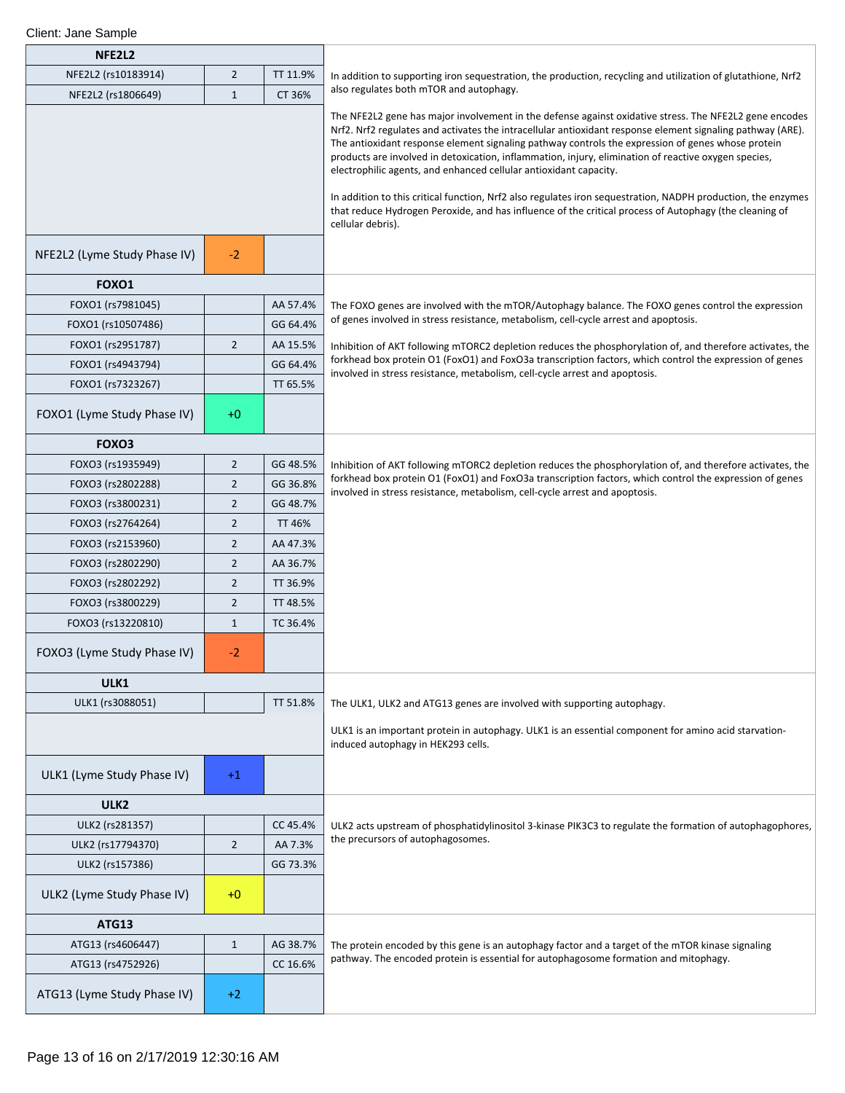| NFE2L2                       |                |               |                                                                                                                                                                                                                                                                                                                                                                                                                                                                                                                                                                                                                                                                                                                                                       |
|------------------------------|----------------|---------------|-------------------------------------------------------------------------------------------------------------------------------------------------------------------------------------------------------------------------------------------------------------------------------------------------------------------------------------------------------------------------------------------------------------------------------------------------------------------------------------------------------------------------------------------------------------------------------------------------------------------------------------------------------------------------------------------------------------------------------------------------------|
| NFE2L2 (rs10183914)          | $\overline{2}$ | TT 11.9%      | In addition to supporting iron sequestration, the production, recycling and utilization of glutathione, Nrf2                                                                                                                                                                                                                                                                                                                                                                                                                                                                                                                                                                                                                                          |
| NFE2L2 (rs1806649)           | $\mathbf{1}$   | CT 36%        | also regulates both mTOR and autophagy.                                                                                                                                                                                                                                                                                                                                                                                                                                                                                                                                                                                                                                                                                                               |
|                              |                |               | The NFE2L2 gene has major involvement in the defense against oxidative stress. The NFE2L2 gene encodes<br>Nrf2. Nrf2 regulates and activates the intracellular antioxidant response element signaling pathway (ARE).<br>The antioxidant response element signaling pathway controls the expression of genes whose protein<br>products are involved in detoxication, inflammation, injury, elimination of reactive oxygen species,<br>electrophilic agents, and enhanced cellular antioxidant capacity.<br>In addition to this critical function, Nrf2 also regulates iron sequestration, NADPH production, the enzymes<br>that reduce Hydrogen Peroxide, and has influence of the critical process of Autophagy (the cleaning of<br>cellular debris). |
| NFE2L2 (Lyme Study Phase IV) | $-2$           |               |                                                                                                                                                                                                                                                                                                                                                                                                                                                                                                                                                                                                                                                                                                                                                       |
| FOXO1                        |                |               |                                                                                                                                                                                                                                                                                                                                                                                                                                                                                                                                                                                                                                                                                                                                                       |
| FOXO1 (rs7981045)            |                | AA 57.4%      | The FOXO genes are involved with the mTOR/Autophagy balance. The FOXO genes control the expression                                                                                                                                                                                                                                                                                                                                                                                                                                                                                                                                                                                                                                                    |
| FOXO1 (rs10507486)           |                | GG 64.4%      | of genes involved in stress resistance, metabolism, cell-cycle arrest and apoptosis.                                                                                                                                                                                                                                                                                                                                                                                                                                                                                                                                                                                                                                                                  |
| FOXO1 (rs2951787)            | $\overline{2}$ | AA 15.5%      | Inhibition of AKT following mTORC2 depletion reduces the phosphorylation of, and therefore activates, the                                                                                                                                                                                                                                                                                                                                                                                                                                                                                                                                                                                                                                             |
| FOXO1 (rs4943794)            |                | GG 64.4%      | forkhead box protein O1 (FoxO1) and FoxO3a transcription factors, which control the expression of genes<br>involved in stress resistance, metabolism, cell-cycle arrest and apoptosis.                                                                                                                                                                                                                                                                                                                                                                                                                                                                                                                                                                |
| FOXO1 (rs7323267)            |                | TT 65.5%      |                                                                                                                                                                                                                                                                                                                                                                                                                                                                                                                                                                                                                                                                                                                                                       |
| FOXO1 (Lyme Study Phase IV)  | $+0$           |               |                                                                                                                                                                                                                                                                                                                                                                                                                                                                                                                                                                                                                                                                                                                                                       |
| FOXO3                        |                |               |                                                                                                                                                                                                                                                                                                                                                                                                                                                                                                                                                                                                                                                                                                                                                       |
| FOXO3 (rs1935949)            | 2              | GG 48.5%      | Inhibition of AKT following mTORC2 depletion reduces the phosphorylation of, and therefore activates, the                                                                                                                                                                                                                                                                                                                                                                                                                                                                                                                                                                                                                                             |
| FOXO3 (rs2802288)            | $\overline{2}$ | GG 36.8%      | forkhead box protein O1 (FoxO1) and FoxO3a transcription factors, which control the expression of genes<br>involved in stress resistance, metabolism, cell-cycle arrest and apoptosis.                                                                                                                                                                                                                                                                                                                                                                                                                                                                                                                                                                |
| FOXO3 (rs3800231)            | $\overline{2}$ | GG 48.7%      |                                                                                                                                                                                                                                                                                                                                                                                                                                                                                                                                                                                                                                                                                                                                                       |
| FOXO3 (rs2764264)            | $\overline{2}$ | <b>TT 46%</b> |                                                                                                                                                                                                                                                                                                                                                                                                                                                                                                                                                                                                                                                                                                                                                       |
| FOXO3 (rs2153960)            | $\overline{2}$ | AA 47.3%      |                                                                                                                                                                                                                                                                                                                                                                                                                                                                                                                                                                                                                                                                                                                                                       |
| FOXO3 (rs2802290)            | 2              | AA 36.7%      |                                                                                                                                                                                                                                                                                                                                                                                                                                                                                                                                                                                                                                                                                                                                                       |
| FOXO3 (rs2802292)            | $\overline{2}$ | TT 36.9%      |                                                                                                                                                                                                                                                                                                                                                                                                                                                                                                                                                                                                                                                                                                                                                       |
| FOXO3 (rs3800229)            | $\overline{2}$ | TT 48.5%      |                                                                                                                                                                                                                                                                                                                                                                                                                                                                                                                                                                                                                                                                                                                                                       |
| FOXO3 (rs13220810)           | $\mathbf{1}$   | TC 36.4%      |                                                                                                                                                                                                                                                                                                                                                                                                                                                                                                                                                                                                                                                                                                                                                       |
| FOXO3 (Lyme Study Phase IV)  | $-2$           |               |                                                                                                                                                                                                                                                                                                                                                                                                                                                                                                                                                                                                                                                                                                                                                       |
| ULK1                         |                |               |                                                                                                                                                                                                                                                                                                                                                                                                                                                                                                                                                                                                                                                                                                                                                       |
| ULK1 (rs3088051)             |                | TT 51.8%      | The ULK1, ULK2 and ATG13 genes are involved with supporting autophagy.                                                                                                                                                                                                                                                                                                                                                                                                                                                                                                                                                                                                                                                                                |
|                              |                |               | ULK1 is an important protein in autophagy. ULK1 is an essential component for amino acid starvation-<br>induced autophagy in HEK293 cells.                                                                                                                                                                                                                                                                                                                                                                                                                                                                                                                                                                                                            |
| ULK1 (Lyme Study Phase IV)   | $+1$           |               |                                                                                                                                                                                                                                                                                                                                                                                                                                                                                                                                                                                                                                                                                                                                                       |
| ULK <sub>2</sub>             |                |               |                                                                                                                                                                                                                                                                                                                                                                                                                                                                                                                                                                                                                                                                                                                                                       |
| ULK2 (rs281357)              |                | CC 45.4%      | ULK2 acts upstream of phosphatidylinositol 3-kinase PIK3C3 to regulate the formation of autophagophores,                                                                                                                                                                                                                                                                                                                                                                                                                                                                                                                                                                                                                                              |
| ULK2 (rs17794370)            | 2              | AA 7.3%       | the precursors of autophagosomes.                                                                                                                                                                                                                                                                                                                                                                                                                                                                                                                                                                                                                                                                                                                     |
| ULK2 (rs157386)              |                | GG 73.3%      |                                                                                                                                                                                                                                                                                                                                                                                                                                                                                                                                                                                                                                                                                                                                                       |
| ULK2 (Lyme Study Phase IV)   | $+0$           |               |                                                                                                                                                                                                                                                                                                                                                                                                                                                                                                                                                                                                                                                                                                                                                       |
| <b>ATG13</b>                 |                |               |                                                                                                                                                                                                                                                                                                                                                                                                                                                                                                                                                                                                                                                                                                                                                       |
| ATG13 (rs4606447)            | $\mathbf{1}$   | AG 38.7%      | The protein encoded by this gene is an autophagy factor and a target of the mTOR kinase signaling                                                                                                                                                                                                                                                                                                                                                                                                                                                                                                                                                                                                                                                     |
| ATG13 (rs4752926)            |                | CC 16.6%      | pathway. The encoded protein is essential for autophagosome formation and mitophagy.                                                                                                                                                                                                                                                                                                                                                                                                                                                                                                                                                                                                                                                                  |
| ATG13 (Lyme Study Phase IV)  | $+2$           |               |                                                                                                                                                                                                                                                                                                                                                                                                                                                                                                                                                                                                                                                                                                                                                       |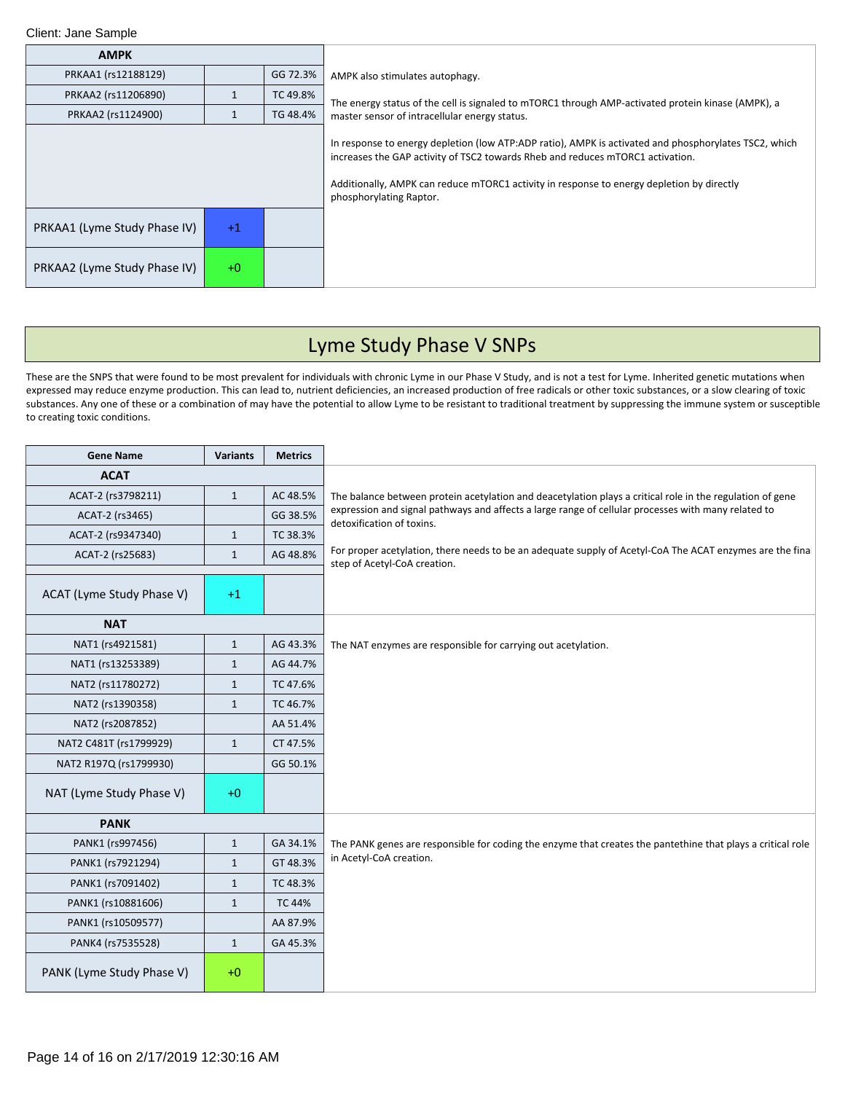| <b>AMPK</b>                  |      |          |                                                                                                                                                                                                                                                                                                                 |
|------------------------------|------|----------|-----------------------------------------------------------------------------------------------------------------------------------------------------------------------------------------------------------------------------------------------------------------------------------------------------------------|
| PRKAA1 (rs12188129)          |      | GG 72.3% | AMPK also stimulates autophagy.                                                                                                                                                                                                                                                                                 |
| PRKAA2 (rs11206890)          |      | TC 49.8% | The energy status of the cell is signaled to mTORC1 through AMP-activated protein kinase (AMPK), a                                                                                                                                                                                                              |
| PRKAA2 (rs1124900)           |      | TG 48.4% | master sensor of intracellular energy status.                                                                                                                                                                                                                                                                   |
|                              |      |          | In response to energy depletion (low ATP:ADP ratio), AMPK is activated and phosphorylates TSC2, which<br>increases the GAP activity of TSC2 towards Rheb and reduces mTORC1 activation.<br>Additionally, AMPK can reduce mTORC1 activity in response to energy depletion by directly<br>phosphorylating Raptor. |
| PRKAA1 (Lyme Study Phase IV) | $+1$ |          |                                                                                                                                                                                                                                                                                                                 |
| PRKAA2 (Lyme Study Phase IV) | $+0$ |          |                                                                                                                                                                                                                                                                                                                 |

# Lyme Study Phase V SNPs

These are the SNPS that were found to be most prevalent for individuals with chronic Lyme in our Phase V Study, and is not a test for Lyme. Inherited genetic mutations when expressed may reduce enzyme production. This can lead to, nutrient deficiencies, an increased production of free radicals or other toxic substances, or a slow clearing of toxic substances. Any one of these or a combination of may have the potential to allow Lyme to be resistant to traditional treatment by suppressing the immune system or susceptible to creating toxic conditions.

| <b>Gene Name</b>          | <b>Variants</b> | <b>Metrics</b> |                                                                                                                                           |
|---------------------------|-----------------|----------------|-------------------------------------------------------------------------------------------------------------------------------------------|
| <b>ACAT</b>               |                 |                |                                                                                                                                           |
| ACAT-2 (rs3798211)        | $\mathbf{1}$    | AC 48.5%       | The balance between protein acetylation and deacetylation plays a critical role in the regulation of gene                                 |
| ACAT-2 (rs3465)           |                 | GG 38.5%       | expression and signal pathways and affects a large range of cellular processes with many related to<br>detoxification of toxins.          |
| ACAT-2 (rs9347340)        | $\mathbf{1}$    | TC 38.3%       |                                                                                                                                           |
| ACAT-2 (rs25683)          | $\mathbf{1}$    | AG 48.8%       | For proper acetylation, there needs to be an adequate supply of Acetyl-CoA The ACAT enzymes are the final<br>step of Acetyl-CoA creation. |
|                           |                 |                |                                                                                                                                           |
| ACAT (Lyme Study Phase V) | $+1$            |                |                                                                                                                                           |
| <b>NAT</b>                |                 |                |                                                                                                                                           |
| NAT1 (rs4921581)          | $\mathbf{1}$    | AG 43.3%       | The NAT enzymes are responsible for carrying out acetylation.                                                                             |
| NAT1 (rs13253389)         | $\mathbf{1}$    | AG 44.7%       |                                                                                                                                           |
| NAT2 (rs11780272)         | $\mathbf{1}$    | TC 47.6%       |                                                                                                                                           |
| NAT2 (rs1390358)          | $\mathbf{1}$    | TC 46.7%       |                                                                                                                                           |
| NAT2 (rs2087852)          |                 | AA 51.4%       |                                                                                                                                           |
| NAT2 C481T (rs1799929)    | $\mathbf{1}$    | CT 47.5%       |                                                                                                                                           |
| NAT2 R197Q (rs1799930)    |                 | GG 50.1%       |                                                                                                                                           |
| NAT (Lyme Study Phase V)  | $+0$            |                |                                                                                                                                           |
| <b>PANK</b>               |                 |                |                                                                                                                                           |
| PANK1 (rs997456)          | $\mathbf{1}$    | GA 34.1%       | The PANK genes are responsible for coding the enzyme that creates the pantethine that plays a critical role                               |
| PANK1 (rs7921294)         | $\mathbf{1}$    | GT 48.3%       | in Acetyl-CoA creation.                                                                                                                   |
| PANK1 (rs7091402)         | $\mathbf{1}$    | TC 48.3%       |                                                                                                                                           |
| PANK1 (rs10881606)        | $\mathbf{1}$    | <b>TC 44%</b>  |                                                                                                                                           |
| PANK1 (rs10509577)        |                 | AA 87.9%       |                                                                                                                                           |
| PANK4 (rs7535528)         | $\mathbf{1}$    | GA 45.3%       |                                                                                                                                           |
| PANK (Lyme Study Phase V) | $+0$            |                |                                                                                                                                           |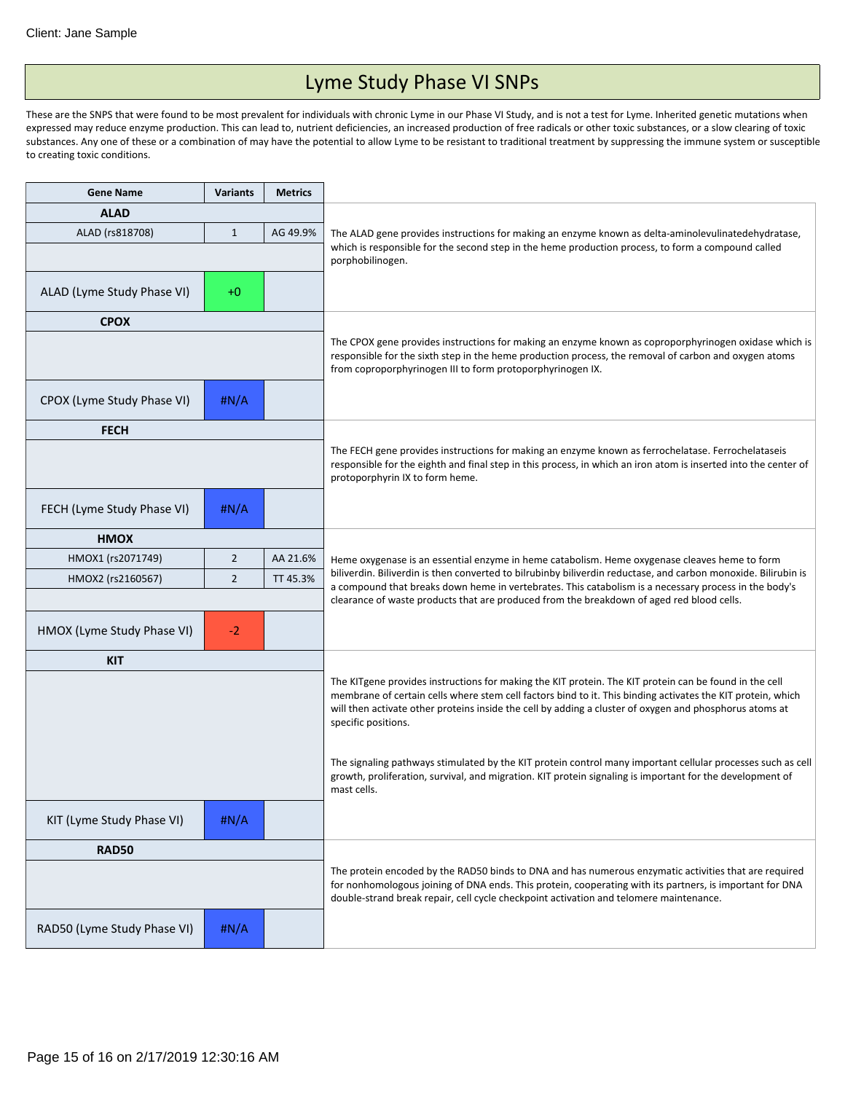## Lyme Study Phase VI SNPs

These are the SNPS that were found to be most prevalent for individuals with chronic Lyme in our Phase VI Study, and is not a test for Lyme. Inherited genetic mutations when expressed may reduce enzyme production. This can lead to, nutrient deficiencies, an increased production of free radicals or other toxic substances, or a slow clearing of toxic substances. Any one of these or a combination of may have the potential to allow Lyme to be resistant to traditional treatment by suppressing the immune system or susceptible to creating toxic conditions.

| <b>Gene Name</b>            | <b>Variants</b> | <b>Metrics</b> |                                                                                                                                                                                                                                                                                                                                                         |
|-----------------------------|-----------------|----------------|---------------------------------------------------------------------------------------------------------------------------------------------------------------------------------------------------------------------------------------------------------------------------------------------------------------------------------------------------------|
| <b>ALAD</b>                 |                 |                |                                                                                                                                                                                                                                                                                                                                                         |
| ALAD (rs818708)             | $\mathbf{1}$    | AG 49.9%       | The ALAD gene provides instructions for making an enzyme known as delta-aminolevulinatedehydratase,                                                                                                                                                                                                                                                     |
|                             |                 |                | which is responsible for the second step in the heme production process, to form a compound called<br>porphobilinogen.                                                                                                                                                                                                                                  |
|                             |                 |                |                                                                                                                                                                                                                                                                                                                                                         |
| ALAD (Lyme Study Phase VI)  | $+0$            |                |                                                                                                                                                                                                                                                                                                                                                         |
| <b>CPOX</b>                 |                 |                |                                                                                                                                                                                                                                                                                                                                                         |
|                             |                 |                | The CPOX gene provides instructions for making an enzyme known as coproporphyrinogen oxidase which is<br>responsible for the sixth step in the heme production process, the removal of carbon and oxygen atoms<br>from coproporphyrinogen III to form protoporphyrinogen IX.                                                                            |
| CPOX (Lyme Study Phase VI)  | # $N/A$         |                |                                                                                                                                                                                                                                                                                                                                                         |
| <b>FECH</b>                 |                 |                |                                                                                                                                                                                                                                                                                                                                                         |
|                             |                 |                | The FECH gene provides instructions for making an enzyme known as ferrochelatase. Ferrochelataseis<br>responsible for the eighth and final step in this process, in which an iron atom is inserted into the center of<br>protoporphyrin IX to form heme.                                                                                                |
| FECH (Lyme Study Phase VI)  | # $N/A$         |                |                                                                                                                                                                                                                                                                                                                                                         |
| <b>HMOX</b>                 |                 |                |                                                                                                                                                                                                                                                                                                                                                         |
| HMOX1 (rs2071749)           | $\overline{2}$  | AA 21.6%       | Heme oxygenase is an essential enzyme in heme catabolism. Heme oxygenase cleaves heme to form                                                                                                                                                                                                                                                           |
| HMOX2 (rs2160567)           | $\overline{2}$  | TT 45.3%       | biliverdin. Biliverdin is then converted to bilrubinby biliverdin reductase, and carbon monoxide. Bilirubin is<br>a compound that breaks down heme in vertebrates. This catabolism is a necessary process in the body's                                                                                                                                 |
|                             |                 |                | clearance of waste products that are produced from the breakdown of aged red blood cells.                                                                                                                                                                                                                                                               |
| HMOX (Lyme Study Phase VI)  | $-2$            |                |                                                                                                                                                                                                                                                                                                                                                         |
| <b>KIT</b>                  |                 |                |                                                                                                                                                                                                                                                                                                                                                         |
|                             |                 |                | The KITgene provides instructions for making the KIT protein. The KIT protein can be found in the cell<br>membrane of certain cells where stem cell factors bind to it. This binding activates the KIT protein, which<br>will then activate other proteins inside the cell by adding a cluster of oxygen and phosphorus atoms at<br>specific positions. |
|                             |                 |                | The signaling pathways stimulated by the KIT protein control many important cellular processes such as cell<br>growth, proliferation, survival, and migration. KIT protein signaling is important for the development of<br>mast cells.                                                                                                                 |
| KIT (Lyme Study Phase VI)   | H N/A           |                |                                                                                                                                                                                                                                                                                                                                                         |
| <b>RAD50</b>                |                 |                |                                                                                                                                                                                                                                                                                                                                                         |
|                             |                 |                | The protein encoded by the RAD50 binds to DNA and has numerous enzymatic activities that are required<br>for nonhomologous joining of DNA ends. This protein, cooperating with its partners, is important for DNA<br>double-strand break repair, cell cycle checkpoint activation and telomere maintenance.                                             |
| RAD50 (Lyme Study Phase VI) | #N/A            |                |                                                                                                                                                                                                                                                                                                                                                         |